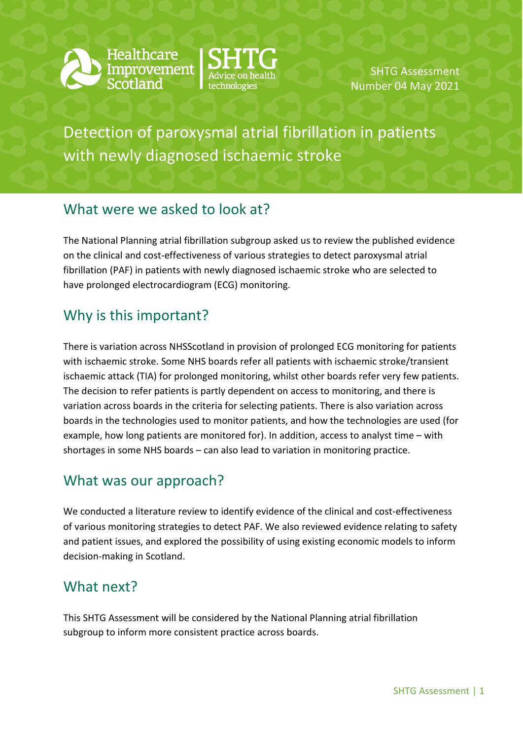



SHTG Assessment Number 04 May 2021

Detection of paroxysmal atrial fibrillation in patients with newly diagnosed ischaemic stroke

## What were we asked to look at?

The National Planning atrial fibrillation subgroup asked us to review the published evidence on the clinical and cost-effectiveness of various strategies to detect paroxysmal atrial fibrillation (PAF) in patients with newly diagnosed ischaemic stroke who are selected to have prolonged electrocardiogram (ECG) monitoring.

## Why is this important?

There is variation across NHSScotland in provision of prolonged ECG monitoring for patients with ischaemic stroke. Some NHS boards refer all patients with ischaemic stroke/transient ischaemic attack (TIA) for prolonged monitoring, whilst other boards refer very few patients. The decision to refer patients is partly dependent on access to monitoring, and there is variation across boards in the criteria for selecting patients. There is also variation across boards in the technologies used to monitor patients, and how the technologies are used (for example, how long patients are monitored for). In addition, access to analyst time – with shortages in some NHS boards – can also lead to variation in monitoring practice.

## What was our approach?

We conducted a literature review to identify evidence of the clinical and cost-effectiveness of various monitoring strategies to detect PAF. We also reviewed evidence relating to safety and patient issues, and explored the possibility of using existing economic models to inform decision-making in Scotland.

## What next?

This SHTG Assessment will be considered by the National Planning atrial fibrillation subgroup to inform more consistent practice across boards.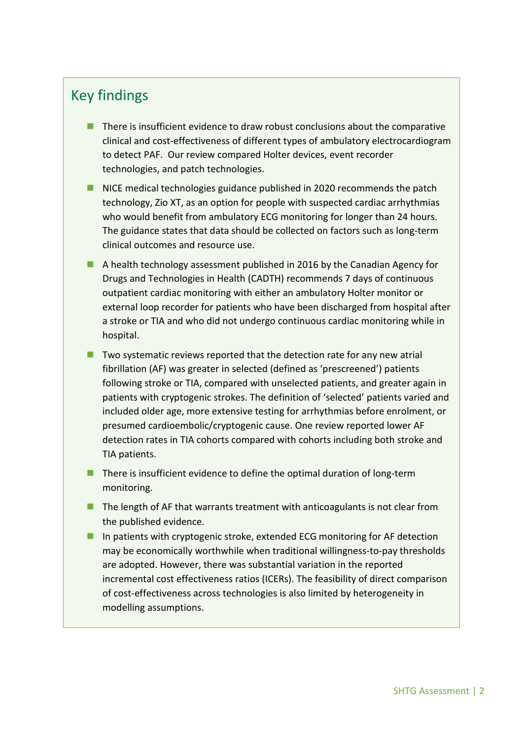## Key findings

- $\blacksquare$  There is insufficient evidence to draw robust conclusions about the comparative clinical and cost-effectiveness of different types of ambulatory electrocardiogram to detect PAF. Our review compared Holter devices, event recorder technologies, and patch technologies.
- NICE medical technologies guidance published in 2020 recommends the patch technology, Zio XT, as an option for people with suspected cardiac arrhythmias who would benefit from ambulatory ECG monitoring for longer than 24 hours. The guidance states that data should be collected on factors such as long-term clinical outcomes and resource use.
- A health technology assessment published in 2016 by the Canadian Agency for Drugs and Technologies in Health (CADTH) recommends 7 days of continuous outpatient cardiac monitoring with either an ambulatory Holter monitor or external loop recorder for patients who have been discharged from hospital after a stroke or TIA and who did not undergo continuous cardiac monitoring while in hospital.
- $\blacksquare$  Two systematic reviews reported that the detection rate for any new atrial fibrillation (AF) was greater in selected (defined as 'prescreened') patients following stroke or TIA, compared with unselected patients, and greater again in patients with cryptogenic strokes. The definition of 'selected' patients varied and included older age, more extensive testing for arrhythmias before enrolment, or presumed cardioembolic/cryptogenic cause. One review reported lower AF detection rates in TIA cohorts compared with cohorts including both stroke and TIA patients.
- $\blacksquare$  There is insufficient evidence to define the optimal duration of long-term monitoring.
- $\blacksquare$  The length of AF that warrants treatment with anticoagulants is not clear from the published evidence.
- In patients with cryptogenic stroke, extended ECG monitoring for AF detection may be economically worthwhile when traditional willingness-to-pay thresholds are adopted. However, there was substantial variation in the reported incremental cost effectiveness ratios (ICERs). The feasibility of direct comparison of cost-effectiveness across technologies is also limited by heterogeneity in modelling assumptions.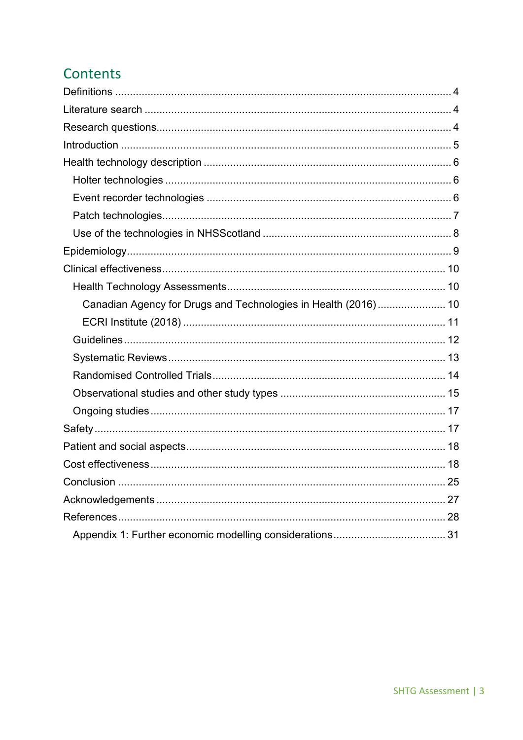# Contents

| Canadian Agency for Drugs and Technologies in Health (2016) 10 |  |
|----------------------------------------------------------------|--|
|                                                                |  |
|                                                                |  |
|                                                                |  |
|                                                                |  |
|                                                                |  |
|                                                                |  |
|                                                                |  |
|                                                                |  |
|                                                                |  |
|                                                                |  |
|                                                                |  |
|                                                                |  |
|                                                                |  |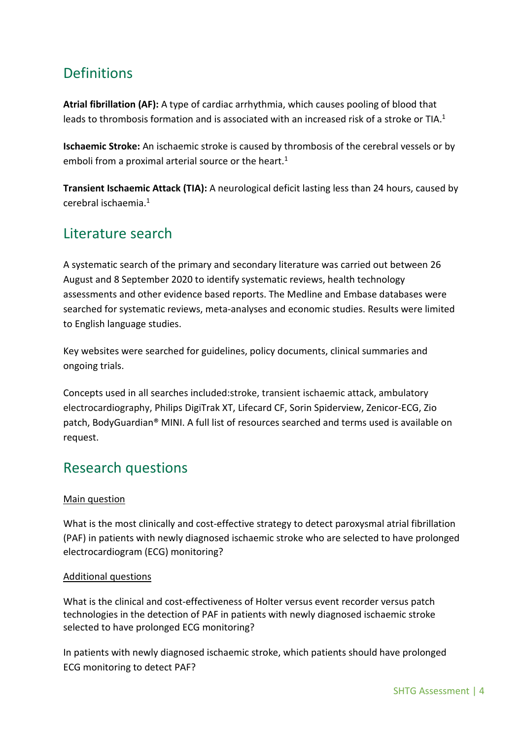# <span id="page-3-0"></span>**Definitions**

**Atrial fibrillation (AF):** A type of cardiac arrhythmia, which causes pooling of blood that leads to thrombosis formation and is associated with an increased risk of a stroke or TIA.<sup>1</sup>

**Ischaemic Stroke:** An ischaemic stroke is caused by thrombosis of the cerebral vessels or by emboli from a proximal arterial source or the heart. 1

**Transient Ischaemic Attack (TIA):** A neurological deficit lasting less than 24 hours, caused by cerebral ischaemia. 1

## <span id="page-3-1"></span>Literature search

A systematic search of the primary and secondary literature was carried out between 26 August and 8 September 2020 to identify systematic reviews, health technology assessments and other evidence based reports. The Medline and Embase databases were searched for systematic reviews, meta-analyses and economic studies. Results were limited to English language studies.

Key websites were searched for guidelines, policy documents, clinical summaries and ongoing trials.

Concepts used in all searches included:stroke, transient ischaemic attack, ambulatory electrocardiography, Philips DigiTrak XT, Lifecard CF, Sorin Spiderview, Zenicor-ECG, Zio patch, BodyGuardian® MINI. A full list of resources searched and terms used is available on request.

## <span id="page-3-2"></span>Research questions

### Main question

What is the most clinically and cost-effective strategy to detect paroxysmal atrial fibrillation (PAF) in patients with newly diagnosed ischaemic stroke who are selected to have prolonged electrocardiogram (ECG) monitoring?

#### Additional questions

What is the clinical and cost-effectiveness of Holter versus event recorder versus patch technologies in the detection of PAF in patients with newly diagnosed ischaemic stroke selected to have prolonged ECG monitoring?

In patients with newly diagnosed ischaemic stroke, which patients should have prolonged ECG monitoring to detect PAF?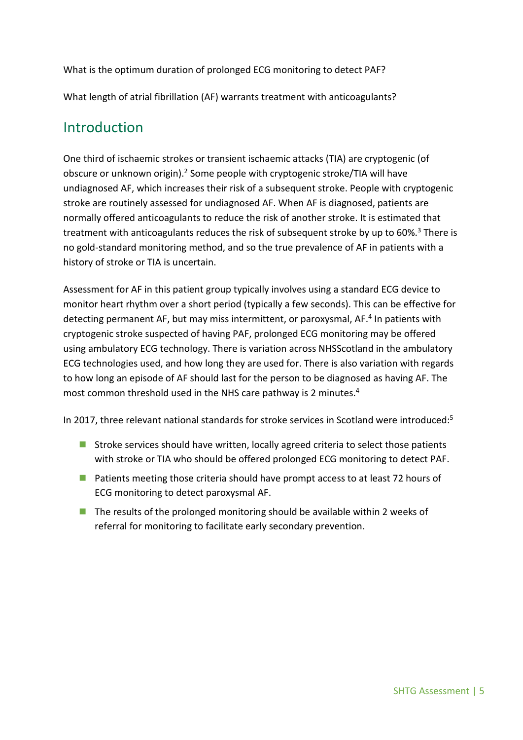What is the optimum duration of prolonged ECG monitoring to detect PAF?

What length of atrial fibrillation (AF) warrants treatment with anticoagulants?

## <span id="page-4-0"></span>Introduction

One third of ischaemic strokes or transient ischaemic attacks (TIA) are cryptogenic (of obscure or unknown origin).<sup>2</sup> Some people with cryptogenic stroke/TIA will have undiagnosed AF, which increases their risk of a subsequent stroke. People with cryptogenic stroke are routinely assessed for undiagnosed AF. When AF is diagnosed, patients are normally offered anticoagulants to reduce the risk of another stroke. It is estimated that treatment with anticoagulants reduces the risk of subsequent stroke by up to 60%. <sup>3</sup> There is no gold-standard monitoring method, and so the true prevalence of AF in patients with a history of stroke or TIA is uncertain.

Assessment for AF in this patient group typically involves using a standard ECG device to monitor heart rhythm over a short period (typically a few seconds). This can be effective for detecting permanent AF, but may miss intermittent, or paroxysmal, AF. <sup>4</sup> In patients with cryptogenic stroke suspected of having PAF, prolonged ECG monitoring may be offered using ambulatory ECG technology. There is variation across NHSScotland in the ambulatory ECG technologies used, and how long they are used for. There is also variation with regards to how long an episode of AF should last for the person to be diagnosed as having AF. The most common threshold used in the NHS care pathway is 2 minutes. 4

In 2017, three relevant national standards for stroke services in Scotland were introduced:<sup>5</sup>

- Stroke services should have written, locally agreed criteria to select those patients with stroke or TIA who should be offered prolonged ECG monitoring to detect PAF.
- **Patients meeting those criteria should have prompt access to at least 72 hours of** ECG monitoring to detect paroxysmal AF.
- $\blacksquare$  The results of the prolonged monitoring should be available within 2 weeks of referral for monitoring to facilitate early secondary prevention.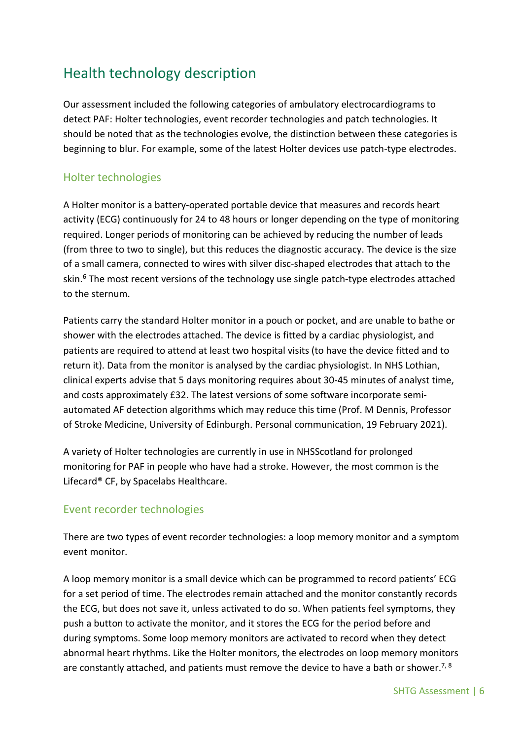# <span id="page-5-0"></span>Health technology description

Our assessment included the following categories of ambulatory electrocardiograms to detect PAF: Holter technologies, event recorder technologies and patch technologies. It should be noted that as the technologies evolve, the distinction between these categories is beginning to blur. For example, some of the latest Holter devices use patch-type electrodes.

### <span id="page-5-1"></span>Holter technologies

A Holter monitor is a battery-operated portable device that measures and records heart activity (ECG) continuously for 24 to 48 hours or longer depending on the type of monitoring required. Longer periods of monitoring can be achieved by reducing the number of leads (from three to two to single), but this reduces the diagnostic accuracy. The device is the size of a small camera, connected to wires with silver disc-shaped electrodes that attach to the skin.<sup>6</sup> The most recent versions of the technology use single patch-type electrodes attached to the sternum.

Patients carry the standard Holter monitor in a pouch or pocket, and are unable to bathe or shower with the electrodes attached. The device is fitted by a cardiac physiologist, and patients are required to attend at least two hospital visits (to have the device fitted and to return it). Data from the monitor is analysed by the cardiac physiologist. In NHS Lothian, clinical experts advise that 5 days monitoring requires about 30-45 minutes of analyst time, and costs approximately £32. The latest versions of some software incorporate semiautomated AF detection algorithms which may reduce this time (Prof. M Dennis, Professor of Stroke Medicine, University of Edinburgh. Personal communication, 19 February 2021).

A variety of Holter technologies are currently in use in NHSScotland for prolonged monitoring for PAF in people who have had a stroke. However, the most common is the Lifecard® CF, by Spacelabs Healthcare.

### <span id="page-5-2"></span>Event recorder technologies

There are two types of event recorder technologies: a loop memory monitor and a symptom event monitor.

A loop memory monitor is a small device which can be programmed to record patients' ECG for a set period of time. The electrodes remain attached and the monitor constantly records the ECG, but does not save it, unless activated to do so. When patients feel symptoms, they push a button to activate the monitor, and it stores the ECG for the period before and during symptoms. Some loop memory monitors are activated to record when they detect abnormal heart rhythms. Like the Holter monitors, the electrodes on loop memory monitors are constantly attached, and patients must remove the device to have a bath or shower.<sup>7, 8</sup>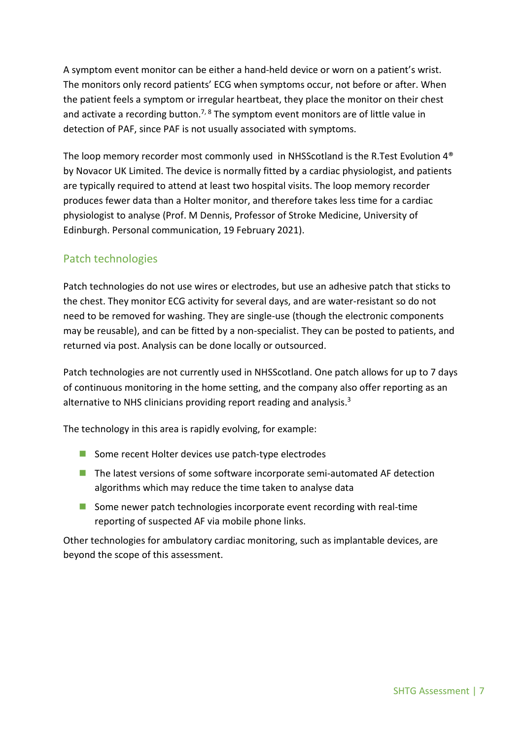A symptom event monitor can be either a hand-held device or worn on a patient's wrist. The monitors only record patients' ECG when symptoms occur, not before or after. When the patient feels a symptom or irregular heartbeat, they place the monitor on their chest and activate a recording button.<sup>7, 8</sup> The symptom event monitors are of little value in detection of PAF, since PAF is not usually associated with symptoms.

The loop memory recorder most commonly used in NHSScotland is the R.Test Evolution 4® by Novacor UK Limited. The device is normally fitted by a cardiac physiologist, and patients are typically required to attend at least two hospital visits. The loop memory recorder produces fewer data than a Holter monitor, and therefore takes less time for a cardiac physiologist to analyse (Prof. M Dennis, Professor of Stroke Medicine, University of Edinburgh. Personal communication, 19 February 2021).

### <span id="page-6-0"></span>Patch technologies

Patch technologies do not use wires or electrodes, but use an adhesive patch that sticks to the chest. They monitor ECG activity for several days, and are water-resistant so do not need to be removed for washing. They are single-use (though the electronic components may be reusable), and can be fitted by a non-specialist. They can be posted to patients, and returned via post. Analysis can be done locally or outsourced.

Patch technologies are not currently used in NHSScotland. One patch allows for up to 7 days of continuous monitoring in the home setting, and the company also offer reporting as an alternative to NHS clinicians providing report reading and analysis.<sup>3</sup>

The technology in this area is rapidly evolving, for example:

- Some recent Holter devices use patch-type electrodes
- **The latest versions of some software incorporate semi-automated AF detection** algorithms which may reduce the time taken to analyse data
- Some newer patch technologies incorporate event recording with real-time reporting of suspected AF via mobile phone links.

Other technologies for ambulatory cardiac monitoring, such as implantable devices, are beyond the scope of this assessment.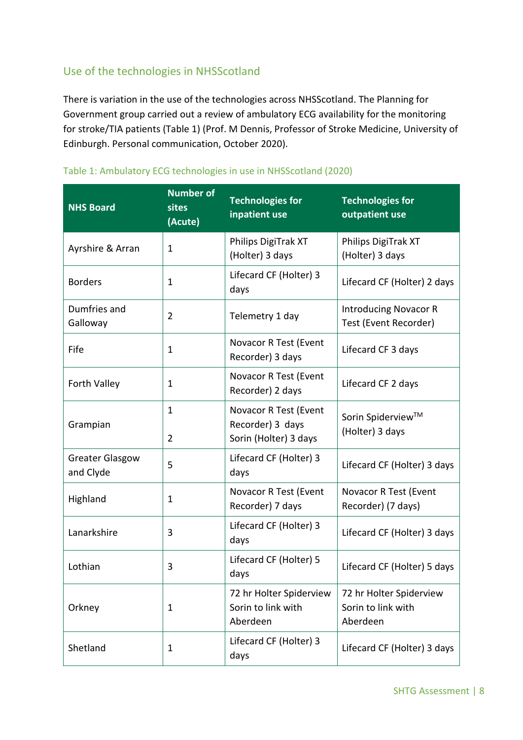## <span id="page-7-0"></span>Use of the technologies in NHSScotland

There is variation in the use of the technologies across NHSScotland. The Planning for Government group carried out a review of ambulatory ECG availability for the monitoring for stroke/TIA patients (Table 1) (Prof. M Dennis, Professor of Stroke Medicine, University of Edinburgh. Personal communication, October 2020).

| <b>NHS Board</b>                    | <b>Number of</b><br>sites<br>(Acute) | <b>Technologies for</b><br>inpatient use                           | <b>Technologies for</b><br>outpatient use                 |
|-------------------------------------|--------------------------------------|--------------------------------------------------------------------|-----------------------------------------------------------|
| Ayrshire & Arran                    | $\mathbf 1$                          | Philips DigiTrak XT<br>(Holter) 3 days                             | Philips DigiTrak XT<br>(Holter) 3 days                    |
| <b>Borders</b>                      | $\mathbf 1$                          | Lifecard CF (Holter) 3<br>days                                     | Lifecard CF (Holter) 2 days                               |
| Dumfries and<br>Galloway            | $\overline{2}$                       | Telemetry 1 day                                                    | <b>Introducing Novacor R</b><br>Test (Event Recorder)     |
| Fife                                | $\mathbf 1$                          | Novacor R Test (Event<br>Recorder) 3 days                          | Lifecard CF 3 days                                        |
| Forth Valley                        | $\mathbf 1$                          | Novacor R Test (Event<br>Recorder) 2 days                          | Lifecard CF 2 days                                        |
| Grampian                            | $\mathbf 1$<br>2                     | Novacor R Test (Event<br>Recorder) 3 days<br>Sorin (Holter) 3 days | Sorin Spiderview™<br>(Holter) 3 days                      |
| <b>Greater Glasgow</b><br>and Clyde | 5                                    | Lifecard CF (Holter) 3<br>days                                     | Lifecard CF (Holter) 3 days                               |
| Highland                            | 1                                    | Novacor R Test (Event<br>Recorder) 7 days                          | Novacor R Test (Event<br>Recorder) (7 days)               |
| Lanarkshire                         | 3                                    | Lifecard CF (Holter) 3<br>days                                     | Lifecard CF (Holter) 3 days                               |
| Lothian                             | 3                                    | Lifecard CF (Holter) 5<br>days                                     | Lifecard CF (Holter) 5 days                               |
| Orkney                              | 1                                    | 72 hr Holter Spiderview<br>Sorin to link with<br>Aberdeen          | 72 hr Holter Spiderview<br>Sorin to link with<br>Aberdeen |
| Shetland                            | 1                                    | Lifecard CF (Holter) 3<br>days                                     | Lifecard CF (Holter) 3 days                               |

#### Table 1: Ambulatory ECG technologies in use in NHSScotland (2020)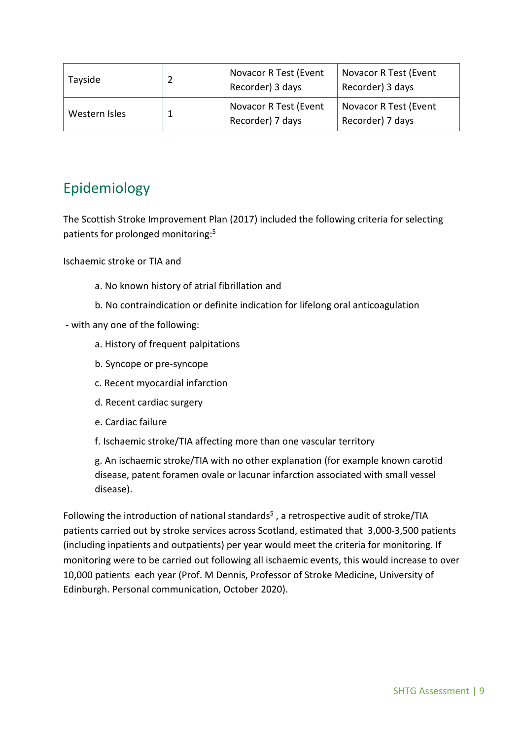| Tayside       | Novacor R Test (Event<br>Recorder) 3 days | Novacor R Test (Event<br>Recorder) 3 days |
|---------------|-------------------------------------------|-------------------------------------------|
| Western Isles | Novacor R Test (Event<br>Recorder) 7 days | Novacor R Test (Event<br>Recorder) 7 days |

# <span id="page-8-0"></span>Epidemiology

The Scottish Stroke Improvement Plan (2017) included the following criteria for selecting patients for prolonged monitoring:<sup>5</sup>

Ischaemic stroke or TIA and

- a. No known history of atrial fibrillation and
- b. No contraindication or definite indication for lifelong oral anticoagulation
- with any one of the following:
	- a. History of frequent palpitations
	- b. Syncope or pre-syncope
	- c. Recent myocardial infarction
	- d. Recent cardiac surgery
	- e. Cardiac failure
	- f. Ischaemic stroke/TIA affecting more than one vascular territory

g. An ischaemic stroke/TIA with no other explanation (for example known carotid disease, patent foramen ovale or lacunar infarction associated with small vessel disease).

<span id="page-8-1"></span>Following the introduction of national standards<sup>5</sup>, a retrospective audit of stroke/TIA patients carried out by stroke services across Scotland, estimated that 3,000-3,500 patients (including inpatients and outpatients) per year would meet the criteria for monitoring. If monitoring were to be carried out following all ischaemic events, this would increase to over 10,000 patients each year (Prof. M Dennis, Professor of Stroke Medicine, University of Edinburgh. Personal communication, October 2020).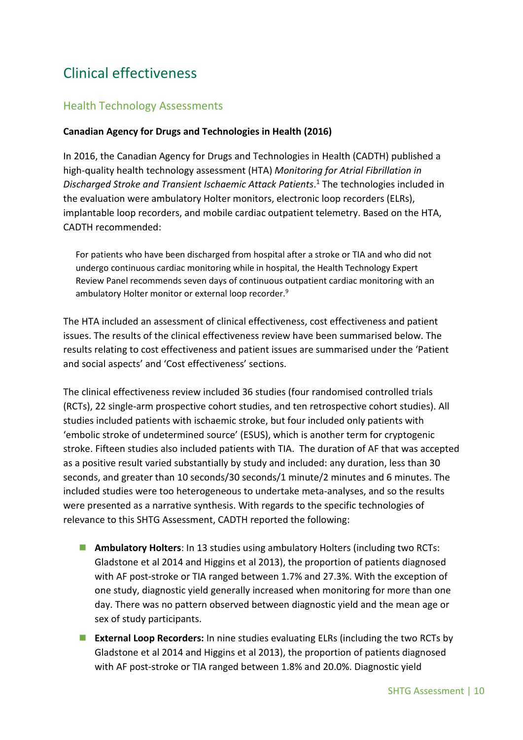# Clinical effectiveness

### <span id="page-9-0"></span>Health Technology Assessments

#### <span id="page-9-1"></span>**Canadian Agency for Drugs and Technologies in Health (2016)**

In 2016, the Canadian Agency for Drugs and Technologies in Health (CADTH) published a high-quality health technology assessment (HTA) *Monitoring for Atrial Fibrillation in Discharged Stroke and Transient Ischaemic Attack Patients*. <sup>1</sup> The technologies included in the evaluation were ambulatory Holter monitors, electronic loop recorders (ELRs), implantable loop recorders, and mobile cardiac outpatient telemetry. Based on the HTA, CADTH recommended:

For patients who have been discharged from hospital after a stroke or TIA and who did not undergo continuous cardiac monitoring while in hospital, the Health Technology Expert Review Panel recommends seven days of continuous outpatient cardiac monitoring with an ambulatory Holter monitor or external loop recorder.<sup>9</sup>

The HTA included an assessment of clinical effectiveness, cost effectiveness and patient issues. The results of the clinical effectiveness review have been summarised below. The results relating to cost effectiveness and patient issues are summarised under the 'Patient and social aspects' and 'Cost effectiveness' sections.

The clinical effectiveness review included 36 studies (four randomised controlled trials (RCTs), 22 single-arm prospective cohort studies, and ten retrospective cohort studies). All studies included patients with ischaemic stroke, but four included only patients with 'embolic stroke of undetermined source' (ESUS), which is another term for cryptogenic stroke. Fifteen studies also included patients with TIA. The duration of AF that was accepted as a positive result varied substantially by study and included: any duration, less than 30 seconds, and greater than 10 seconds/30 seconds/1 minute/2 minutes and 6 minutes. The included studies were too heterogeneous to undertake meta-analyses, and so the results were presented as a narrative synthesis. With regards to the specific technologies of relevance to this SHTG Assessment, CADTH reported the following:

- **Ambulatory Holters**: In 13 studies using ambulatory Holters (including two RCTs: Gladstone et al 2014 and Higgins et al 2013), the proportion of patients diagnosed with AF post-stroke or TIA ranged between 1.7% and 27.3%. With the exception of one study, diagnostic yield generally increased when monitoring for more than one day. There was no pattern observed between diagnostic yield and the mean age or sex of study participants.
- **External Loop Recorders:** In nine studies evaluating ELRs (including the two RCTs by Gladstone et al 2014 and Higgins et al 2013), the proportion of patients diagnosed with AF post-stroke or TIA ranged between 1.8% and 20.0%. Diagnostic yield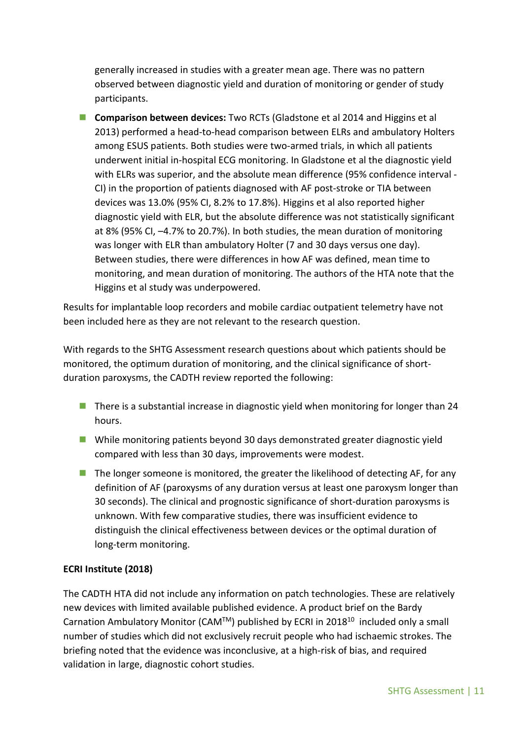generally increased in studies with a greater mean age. There was no pattern observed between diagnostic yield and duration of monitoring or gender of study participants.

 **Comparison between devices:** Two RCTs (Gladstone et al 2014 and Higgins et al 2013) performed a head-to-head comparison between ELRs and ambulatory Holters among ESUS patients. Both studies were two-armed trials, in which all patients underwent initial in-hospital ECG monitoring. In Gladstone et al the diagnostic yield with ELRs was superior, and the absolute mean difference (95% confidence interval - CI) in the proportion of patients diagnosed with AF post-stroke or TIA between devices was 13.0% (95% CI, 8.2% to 17.8%). Higgins et al also reported higher diagnostic yield with ELR, but the absolute difference was not statistically significant at 8% (95% CI, –4.7% to 20.7%). In both studies, the mean duration of monitoring was longer with ELR than ambulatory Holter (7 and 30 days versus one day). Between studies, there were differences in how AF was defined, mean time to monitoring, and mean duration of monitoring. The authors of the HTA note that the Higgins et al study was underpowered.

Results for implantable loop recorders and mobile cardiac outpatient telemetry have not been included here as they are not relevant to the research question.

With regards to the SHTG Assessment research questions about which patients should be monitored, the optimum duration of monitoring, and the clinical significance of shortduration paroxysms, the CADTH review reported the following:

- $\blacksquare$  There is a substantial increase in diagnostic yield when monitoring for longer than 24 hours.
- While monitoring patients beyond 30 days demonstrated greater diagnostic yield compared with less than 30 days, improvements were modest.
- $\blacksquare$  The longer someone is monitored, the greater the likelihood of detecting AF, for any definition of AF (paroxysms of any duration versus at least one paroxysm longer than 30 seconds). The clinical and prognostic significance of short-duration paroxysms is unknown. With few comparative studies, there was insufficient evidence to distinguish the clinical effectiveness between devices or the optimal duration of long-term monitoring.

#### <span id="page-10-0"></span>**ECRI Institute (2018)**

The CADTH HTA did not include any information on patch technologies. These are relatively new devices with limited available published evidence. A product brief on the Bardy Carnation Ambulatory Monitor (CAM<sup>TM</sup>) published by ECRI in 2018<sup>10</sup> included only a small number of studies which did not exclusively recruit people who had ischaemic strokes. The briefing noted that the evidence was inconclusive, at a high-risk of bias, and required validation in large, diagnostic cohort studies.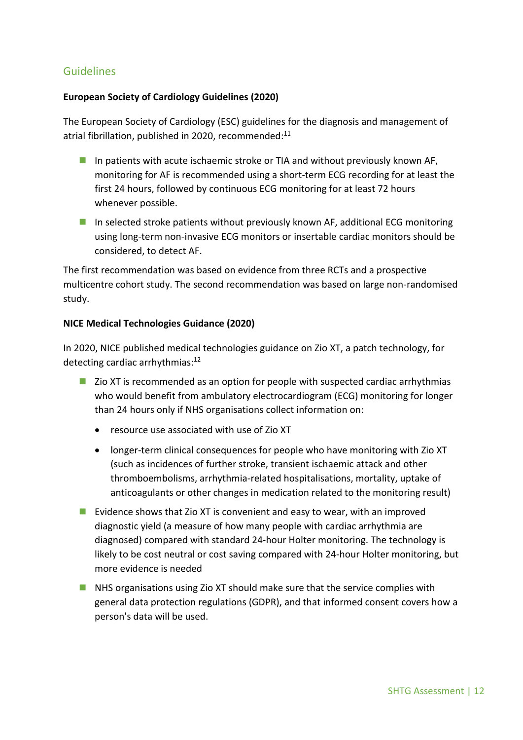### <span id="page-11-0"></span>Guidelines

#### **European Society of Cardiology Guidelines (2020)**

The European Society of Cardiology (ESC) guidelines for the diagnosis and management of atrial fibrillation, published in 2020, recommended:<sup>11</sup>

- In patients with acute ischaemic stroke or TIA and without previously known AF, monitoring for AF is recommended using a short-term ECG recording for at least the first 24 hours, followed by continuous ECG monitoring for at least 72 hours whenever possible.
- In selected stroke patients without previously known AF, additional ECG monitoring using long-term non-invasive ECG monitors or insertable cardiac monitors should be considered, to detect AF.

The first recommendation was based on evidence from three RCTs and a prospective multicentre cohort study. The second recommendation was based on large non-randomised study.

#### **NICE Medical Technologies Guidance (2020)**

In 2020, NICE published medical technologies guidance on Zio XT, a patch technology, for detecting cardiac arrhythmias:<sup>12</sup>

- $\blacksquare$  Zio XT is recommended as an option for people with suspected cardiac arrhythmias who would benefit from ambulatory electrocardiogram (ECG) monitoring for longer than 24 hours only if NHS organisations collect information on:
	- resource use associated with use of Zio XT
	- longer-term clinical consequences for people who have monitoring with Zio XT (such as incidences of further stroke, transient ischaemic attack and other thromboembolisms, arrhythmia-related hospitalisations, mortality, uptake of anticoagulants or other changes in medication related to the monitoring result)
- Evidence shows that Zio XT is convenient and easy to wear, with an improved diagnostic yield (a measure of how many people with cardiac arrhythmia are diagnosed) compared with standard 24-hour Holter monitoring. The technology is likely to be cost neutral or cost saving compared with 24-hour Holter monitoring, but more evidence is needed
- **NHS** organisations using Zio XT should make sure that the service complies with general data protection regulations (GDPR), and that informed consent covers how a person's data will be used.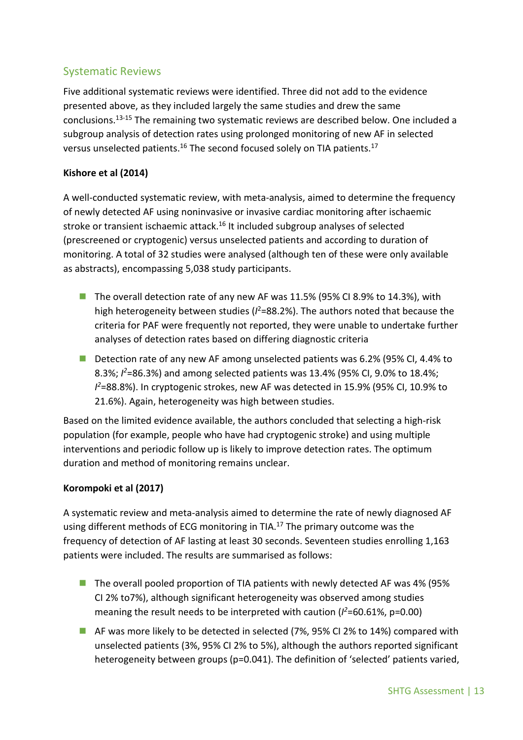## <span id="page-12-0"></span>Systematic Reviews

Five additional systematic reviews were identified. Three did not add to the evidence presented above, as they included largely the same studies and drew the same conclusions. 13-15 The remaining two systematic reviews are described below. One included a subgroup analysis of detection rates using prolonged monitoring of new AF in selected versus unselected patients.<sup>16</sup> The second focused solely on TIA patients.<sup>17</sup>

#### **Kishore et al (2014)**

A well-conducted systematic review, with meta-analysis, aimed to determine the frequency of newly detected AF using noninvasive or invasive cardiac monitoring after ischaemic stroke or transient ischaemic attack.<sup>16</sup> It included subgroup analyses of selected (prescreened or cryptogenic) versus unselected patients and according to duration of monitoring. A total of 32 studies were analysed (although ten of these were only available as abstracts), encompassing 5,038 study participants.

- The overall detection rate of any new AF was  $11.5\%$  (95% CI 8.9% to 14.3%), with high heterogeneity between studies ( $l^2$ =88.2%). The authors noted that because the criteria for PAF were frequently not reported, they were unable to undertake further analyses of detection rates based on differing diagnostic criteria
- Detection rate of any new AF among unselected patients was 6.2% (95% CI, 4.4% to 8.3%; *I <sup>2</sup>*=86.3%) and among selected patients was 13.4% (95% CI, 9.0% to 18.4%; *I <sup>2</sup>*=88.8%). In cryptogenic strokes, new AF was detected in 15.9% (95% CI, 10.9% to 21.6%). Again, heterogeneity was high between studies.

Based on the limited evidence available, the authors concluded that selecting a high-risk population (for example, people who have had cryptogenic stroke) and using multiple interventions and periodic follow up is likely to improve detection rates. The optimum duration and method of monitoring remains unclear.

#### **Korompoki et al (2017)**

A systematic review and meta-analysis aimed to determine the rate of newly diagnosed AF using different methods of ECG monitoring in TIA.<sup>17</sup> The primary outcome was the frequency of detection of AF lasting at least 30 seconds. Seventeen studies enrolling 1,163 patients were included. The results are summarised as follows:

- The overall pooled proportion of TIA patients with newly detected AF was 4% (95% CI 2% to7%), although significant heterogeneity was observed among studies meaning the result needs to be interpreted with caution ( $l^2$ =60.61%, p=0.00)
- AF was more likely to be detected in selected (7%, 95% CI 2% to 14%) compared with unselected patients (3%, 95% CI 2% to 5%), although the authors reported significant heterogeneity between groups (p=0.041). The definition of 'selected' patients varied,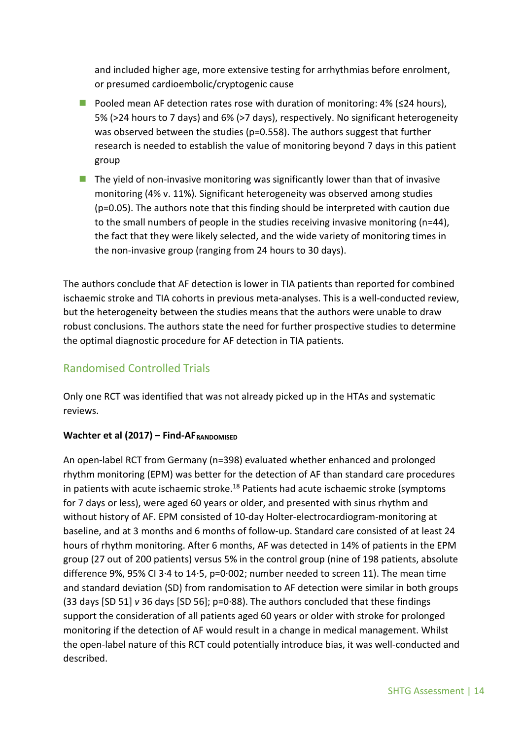and included higher age, more extensive testing for arrhythmias before enrolment, or presumed cardioembolic/cryptogenic cause

- **Pooled mean AF detection rates rose with duration of monitoring: 4% (** $\leq 24$  **hours).** 5% (>24 hours to 7 days) and 6% (>7 days), respectively. No significant heterogeneity was observed between the studies (p=0.558). The authors suggest that further research is needed to establish the value of monitoring beyond 7 days in this patient group
- $\blacksquare$  The yield of non-invasive monitoring was significantly lower than that of invasive monitoring (4% v. 11%). Significant heterogeneity was observed among studies (p=0.05). The authors note that this finding should be interpreted with caution due to the small numbers of people in the studies receiving invasive monitoring (n=44), the fact that they were likely selected, and the wide variety of monitoring times in the non-invasive group (ranging from 24 hours to 30 days).

The authors conclude that AF detection is lower in TIA patients than reported for combined ischaemic stroke and TIA cohorts in previous meta-analyses. This is a well-conducted review, but the heterogeneity between the studies means that the authors were unable to draw robust conclusions. The authors state the need for further prospective studies to determine the optimal diagnostic procedure for AF detection in TIA patients.

## <span id="page-13-0"></span>Randomised Controlled Trials

Only one RCT was identified that was not already picked up in the HTAs and systematic reviews.

#### Wachter et al (2017) – Find-AF<sub>RANDOMISED</sub>

An open-label RCT from Germany (n=398) evaluated whether enhanced and prolonged rhythm monitoring (EPM) was better for the detection of AF than standard care procedures in patients with acute ischaemic stroke.<sup>18</sup> Patients had acute ischaemic stroke (symptoms for 7 days or less), were aged 60 years or older, and presented with sinus rhythm and without history of AF. EPM consisted of 10-day Holter-electrocardiogram-monitoring at baseline, and at 3 months and 6 months of follow-up. Standard care consisted of at least 24 hours of rhythm monitoring. After 6 months, AF was detected in 14% of patients in the EPM group (27 out of 200 patients) versus 5% in the control group (nine of 198 patients, absolute difference 9%, 95% CI 3·4 to 14·5, p=0·002; number needed to screen 11). The mean time and standard deviation (SD) from randomisation to AF detection were similar in both groups (33 days [SD 51] *v* 36 days [SD 56]; p=0·88). The authors concluded that these findings support the consideration of all patients aged 60 years or older with stroke for prolonged monitoring if the detection of AF would result in a change in medical management. Whilst the open-label nature of this RCT could potentially introduce bias, it was well-conducted and described.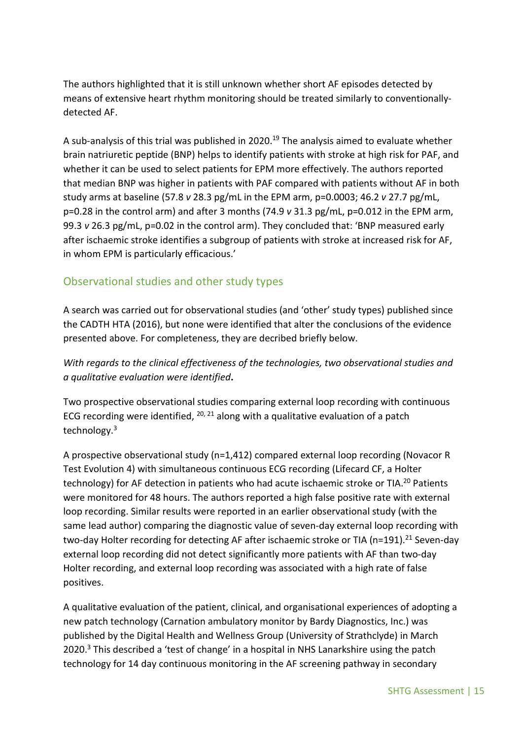The authors highlighted that it is still unknown whether short AF episodes detected by means of extensive heart rhythm monitoring should be treated similarly to conventionallydetected AF.

A sub-analysis of this trial was published in 2020. <sup>19</sup> The analysis aimed to evaluate whether brain natriuretic peptide (BNP) helps to identify patients with stroke at high risk for PAF, and whether it can be used to select patients for EPM more effectively. The authors reported that median BNP was higher in patients with PAF compared with patients without AF in both study arms at baseline (57.8 *v* 28.3 pg/mL in the EPM arm, p=0.0003; 46.2 *v* 27.7 pg/mL, p=0.28 in the control arm) and after 3 months (74.9 *v* 31.3 pg/mL, p=0.012 in the EPM arm, 99.3 *v* 26.3 pg/mL, p=0.02 in the control arm). They concluded that: 'BNP measured early after ischaemic stroke identifies a subgroup of patients with stroke at increased risk for AF, in whom EPM is particularly efficacious.'

### <span id="page-14-0"></span>Observational studies and other study types

A search was carried out for observational studies (and 'other' study types) published since the CADTH HTA (2016), but none were identified that alter the conclusions of the evidence presented above. For completeness, they are decribed briefly below.

*With regards to the clinical effectiveness of the technologies, two observational studies and a qualitative evaluation were identified***.** 

Two prospective observational studies comparing external loop recording with continuous ECG recording were identified,  $20, 21$  along with a qualitative evaluation of a patch technology.<sup>3</sup>

A prospective observational study (n=1,412) compared external loop recording (Novacor R Test Evolution 4) with simultaneous continuous ECG recording (Lifecard CF, a Holter technology) for AF detection in patients who had acute ischaemic stroke or TIA.<sup>20</sup> Patients were monitored for 48 hours. The authors reported a high false positive rate with external loop recording. Similar results were reported in an earlier observational study (with the same lead author) comparing the diagnostic value of seven-day external loop recording with two-day Holter recording for detecting AF after ischaemic stroke or TIA (n=191).<sup>21</sup> Seven-day external loop recording did not detect significantly more patients with AF than two-day Holter recording, and external loop recording was associated with a high rate of false positives.

A qualitative evaluation of the patient, clinical, and organisational experiences of adopting a new patch technology (Carnation ambulatory monitor by Bardy Diagnostics, Inc.) was published by the Digital Health and Wellness Group (University of Strathclyde) in March 2020. <sup>3</sup> This described a 'test of change' in a hospital in NHS Lanarkshire using the patch technology for 14 day continuous monitoring in the AF screening pathway in secondary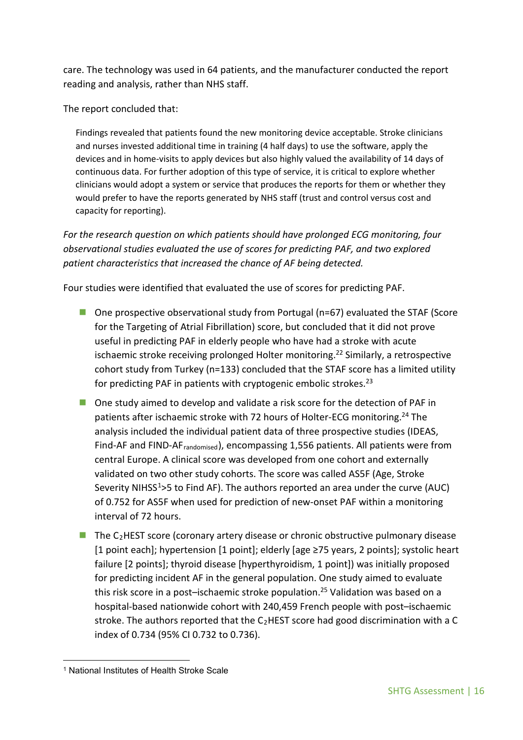care. The technology was used in 64 patients, and the manufacturer conducted the report reading and analysis, rather than NHS staff.

The report concluded that:

Findings revealed that patients found the new monitoring device acceptable. Stroke clinicians and nurses invested additional time in training (4 half days) to use the software, apply the devices and in home-visits to apply devices but also highly valued the availability of 14 days of continuous data. For further adoption of this type of service, it is critical to explore whether clinicians would adopt a system or service that produces the reports for them or whether they would prefer to have the reports generated by NHS staff (trust and control versus cost and capacity for reporting).

*For the research question on which patients should have prolonged ECG monitoring, four observational studies evaluated the use of scores for predicting PAF, and two explored patient characteristics that increased the chance of AF being detected.* 

Four studies were identified that evaluated the use of scores for predicting PAF.

- $\blacksquare$  One prospective observational study from Portugal (n=67) evaluated the STAF (Score for the Targeting of Atrial Fibrillation) score, but concluded that it did not prove useful in predicting PAF in elderly people who have had a stroke with acute ischaemic stroke receiving prolonged Holter monitoring. <sup>22</sup> Similarly, a retrospective cohort study from Turkey (n=133) concluded that the STAF score has a limited utility for predicting PAF in patients with cryptogenic embolic strokes.<sup>23</sup>
- One study aimed to develop and validate a risk score for the detection of PAF in patients after ischaemic stroke with 72 hours of Holter-ECG monitoring.<sup>24</sup> The analysis included the individual patient data of three prospective studies (IDEAS, Find-AF and FIND-AFrandomised), encompassing 1,556 patients. All patients were from central Europe. A clinical score was developed from one cohort and externally validated on two other study cohorts. The score was called AS5F (Age, Stroke Severity NIHSS<sup>1</sup>>5 to Find AF). The authors reported an area under the curve (AUC) of 0.752 for AS5F when used for prediction of new-onset PAF within a monitoring interval of 72 hours.
- $\blacksquare$  The C<sub>2</sub>HEST score (coronary artery disease or chronic obstructive pulmonary disease [1 point each]; hypertension [1 point]; elderly [age ≥75 years, 2 points]; systolic heart failure [2 points]; thyroid disease [hyperthyroidism, 1 point]) was initially proposed for predicting incident AF in the general population. One study aimed to evaluate this risk score in a post–ischaemic stroke population. <sup>25</sup> Validation was based on a hospital-based nationwide cohort with 240,459 French people with post–ischaemic stroke. The authors reported that the  $C_2$ HEST score had good discrimination with a C index of 0.734 (95% CI 0.732 to 0.736).

<span id="page-15-0"></span><sup>1</sup> <sup>1</sup> National Institutes of Health Stroke Scale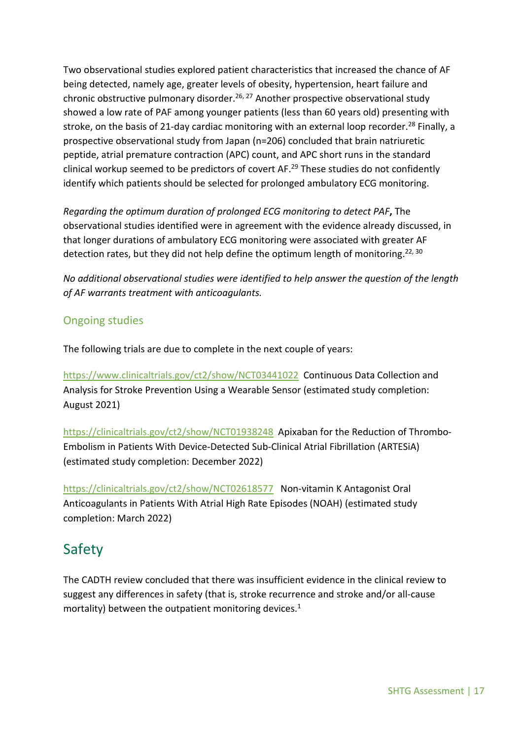Two observational studies explored patient characteristics that increased the chance of AF being detected, namely age, greater levels of obesity, hypertension, heart failure and chronic obstructive pulmonary disorder.<sup>26, 27</sup> Another prospective observational study showed a low rate of PAF among younger patients (less than 60 years old) presenting with stroke, on the basis of 21-day cardiac monitoring with an external loop recorder.<sup>28</sup> Finally, a prospective observational study from Japan (n=206) concluded that brain natriuretic peptide, atrial premature contraction (APC) count, and APC short runs in the standard clinical workup seemed to be predictors of covert AF. <sup>29</sup> These studies do not confidently identify which patients should be selected for prolonged ambulatory ECG monitoring.

*Regarding the optimum duration of prolonged ECG monitoring to detect PAF***,** The observational studies identified were in agreement with the evidence already discussed, in that longer durations of ambulatory ECG monitoring were associated with greater AF detection rates, but they did not help define the optimum length of monitoring.<sup>22, 30</sup>

*No additional observational studies were identified to help answer the question of the length of AF warrants treatment with anticoagulants.*

### <span id="page-16-0"></span>Ongoing studies

The following trials are due to complete in the next couple of years:

<https://www.clinicaltrials.gov/ct2/show/NCT03441022> Continuous Data Collection and Analysis for Stroke Prevention Using a Wearable Sensor (estimated study completion: August 2021)

<https://clinicaltrials.gov/ct2/show/NCT01938248>Apixaban for the Reduction of Thrombo-Embolism in Patients With Device-Detected Sub-Clinical Atrial Fibrillation (ARTESiA) (estimated study completion: December 2022)

<https://clinicaltrials.gov/ct2/show/NCT02618577>Non-vitamin K Antagonist Oral Anticoagulants in Patients With Atrial High Rate Episodes (NOAH) (estimated study completion: March 2022)

## <span id="page-16-1"></span>Safety

<span id="page-16-2"></span>The CADTH review concluded that there was insufficient evidence in the clinical review to suggest any differences in safety (that is, stroke recurrence and stroke and/or all-cause mortality) between the outpatient monitoring devices. 1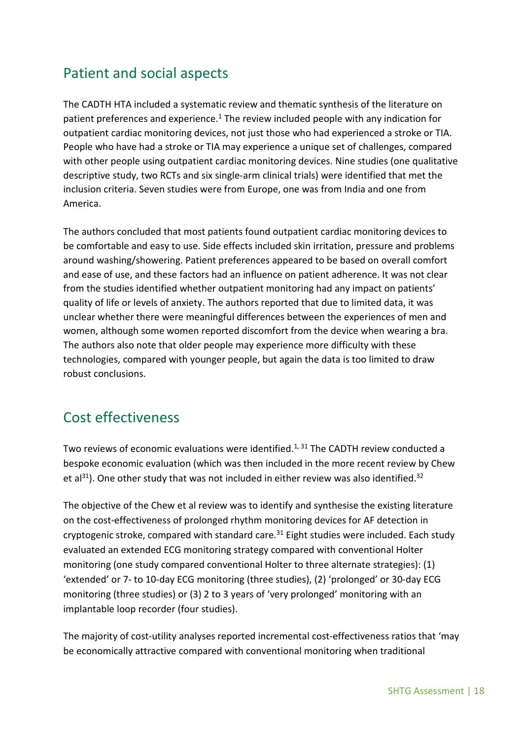# Patient and social aspects

The CADTH HTA included a systematic review and thematic synthesis of the literature on patient preferences and experience.<sup>1</sup> The review included people with any indication for outpatient cardiac monitoring devices, not just those who had experienced a stroke or TIA. People who have had a stroke or TIA may experience a unique set of challenges, compared with other people using outpatient cardiac monitoring devices. Nine studies (one qualitative descriptive study, two RCTs and six single-arm clinical trials) were identified that met the inclusion criteria. Seven studies were from Europe, one was from India and one from America.

The authors concluded that most patients found outpatient cardiac monitoring devices to be comfortable and easy to use. Side effects included skin irritation, pressure and problems around washing/showering. Patient preferences appeared to be based on overall comfort and ease of use, and these factors had an influence on patient adherence. It was not clear from the studies identified whether outpatient monitoring had any impact on patients' quality of life or levels of anxiety. The authors reported that due to limited data, it was unclear whether there were meaningful differences between the experiences of men and women, although some women reported discomfort from the device when wearing a bra. The authors also note that older people may experience more difficulty with these technologies, compared with younger people, but again the data is too limited to draw robust conclusions.

## <span id="page-17-0"></span>Cost effectiveness

Two reviews of economic evaluations were identified.<sup>1, 31</sup> The CADTH review conducted a bespoke economic evaluation (which was then included in the more recent review by Chew et al<sup>31</sup>). One other study that was not included in either review was also identified.<sup>32</sup>

The objective of the Chew et al review was to identify and synthesise the existing literature on the cost-effectiveness of prolonged rhythm monitoring devices for AF detection in cryptogenic stroke, compared with standard care.<sup>31</sup> Eight studies were included. Each study evaluated an extended ECG monitoring strategy compared with conventional Holter monitoring (one study compared conventional Holter to three alternate strategies): (1) 'extended' or 7- to 10-day ECG monitoring (three studies), (2) 'prolonged' or 30-day ECG monitoring (three studies) or (3) 2 to 3 years of 'very prolonged' monitoring with an implantable loop recorder (four studies).

The majority of cost-utility analyses reported incremental cost-effectiveness ratios that 'may be economically attractive compared with conventional monitoring when traditional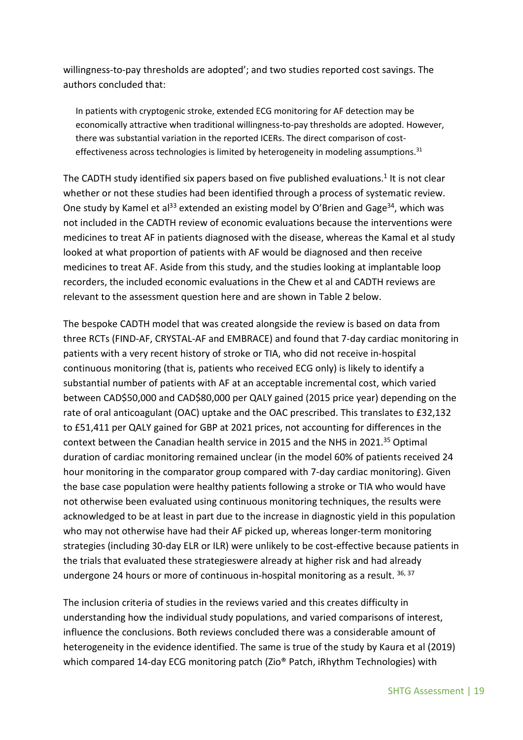willingness-to-pay thresholds are adopted'; and two studies reported cost savings. The authors concluded that:

In patients with cryptogenic stroke, extended ECG monitoring for AF detection may be economically attractive when traditional willingness-to-pay thresholds are adopted. However, there was substantial variation in the reported ICERs. The direct comparison of costeffectiveness across technologies is limited by heterogeneity in modeling assumptions.<sup>31</sup>

The CADTH study identified six papers based on five published evaluations.<sup>1</sup> It is not clear whether or not these studies had been identified through a process of systematic review. One study by Kamel et al<sup>33</sup> extended an existing model by O'Brien and Gage<sup>34</sup>, which was not included in the CADTH review of economic evaluations because the interventions were medicines to treat AF in patients diagnosed with the disease, whereas the Kamal et al study looked at what proportion of patients with AF would be diagnosed and then receive medicines to treat AF. Aside from this study, and the studies looking at implantable loop recorders, the included economic evaluations in the Chew et al and CADTH reviews are relevant to the assessment question here and are shown in Table 2 below.

The bespoke CADTH model that was created alongside the review is based on data from three RCTs (FIND-AF, CRYSTAL-AF and EMBRACE) and found that 7-day cardiac monitoring in patients with a very recent history of stroke or TIA, who did not receive in-hospital continuous monitoring (that is, patients who received ECG only) is likely to identify a substantial number of patients with AF at an acceptable incremental cost, which varied between CAD\$50,000 and CAD\$80,000 per QALY gained (2015 price year) depending on the rate of oral anticoagulant (OAC) uptake and the OAC prescribed. This translates to £32,132 to £51,411 per QALY gained for GBP at 2021 prices, not accounting for differences in the context between the Canadian health service in 2015 and the NHS in 2021.35 Optimal duration of cardiac monitoring remained unclear (in the model 60% of patients received 24 hour monitoring in the comparator group compared with 7-day cardiac monitoring). Given the base case population were healthy patients following a stroke or TIA who would have not otherwise been evaluated using continuous monitoring techniques, the results were acknowledged to be at least in part due to the increase in diagnostic yield in this population who may not otherwise have had their AF picked up, whereas longer-term monitoring strategies (including 30-day ELR or ILR) were unlikely to be cost-effective because patients in the trials that evaluated these strategieswere already at higher risk and had already undergone 24 hours or more of continuous in-hospital monitoring as a result. 36, 37

The inclusion criteria of studies in the reviews varied and this creates difficulty in understanding how the individual study populations, and varied comparisons of interest, influence the conclusions. Both reviews concluded there was a considerable amount of heterogeneity in the evidence identified. The same is true of the study by Kaura et al (2019) which compared 14-day ECG monitoring patch (Zio® Patch, iRhythm Technologies) with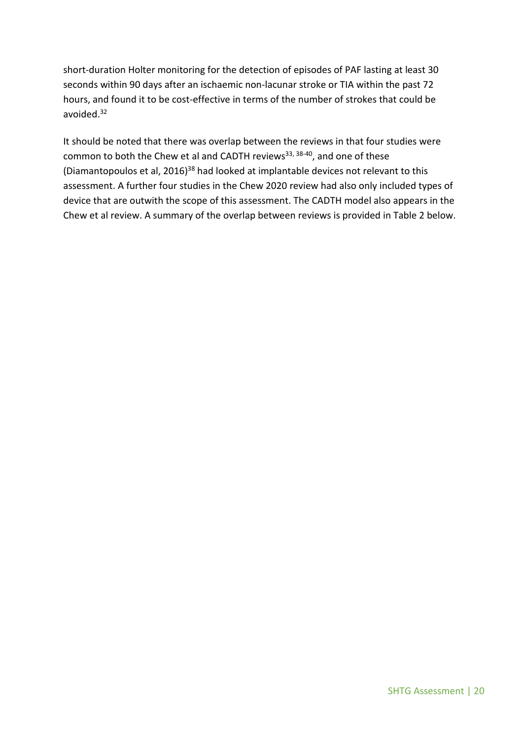short-duration Holter monitoring for the detection of episodes of PAF lasting at least 30 seconds within 90 days after an ischaemic non-lacunar stroke or TIA within the past 72 hours, and found it to be cost-effective in terms of the number of strokes that could be avoided.32

It should be noted that there was overlap between the reviews in that four studies were common to both the Chew et al and CADTH reviews<sup>33, 38-40</sup>, and one of these (Diamantopoulos et al, 2016)<sup>38</sup> had looked at implantable devices not relevant to this assessment. A further four studies in the Chew 2020 review had also only included types of device that are outwith the scope of this assessment. The CADTH model also appears in the Chew et al review. A summary of the overlap between reviews is provided in Table 2 below.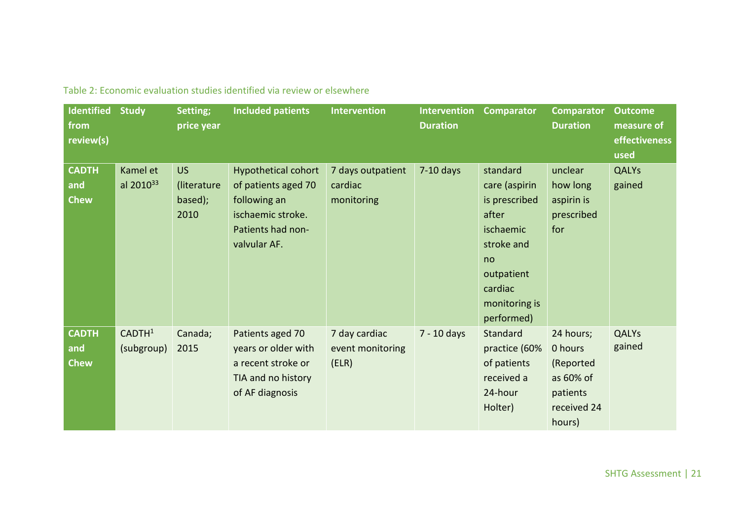| <b>Identified</b><br>from<br>review(s) | <b>Study</b>                     | Setting;<br>price year                      | <b>Included patients</b>                                                                                                    | Intervention                               | <b>Intervention</b><br><b>Duration</b> | <b>Comparator</b>                                                                                                                            | <b>Comparator</b><br><b>Duration</b>                                                | <b>Outcome</b><br>measure of<br>effectiveness<br>used |
|----------------------------------------|----------------------------------|---------------------------------------------|-----------------------------------------------------------------------------------------------------------------------------|--------------------------------------------|----------------------------------------|----------------------------------------------------------------------------------------------------------------------------------------------|-------------------------------------------------------------------------------------|-------------------------------------------------------|
| <b>CADTH</b><br>and<br><b>Chew</b>     | Kamel et<br>al $2010^{33}$       | <b>US</b><br>(literature<br>based);<br>2010 | <b>Hypothetical cohort</b><br>of patients aged 70<br>following an<br>ischaemic stroke.<br>Patients had non-<br>valvular AF. | 7 days outpatient<br>cardiac<br>monitoring | $7-10$ days                            | standard<br>care (aspirin<br>is prescribed<br>after<br>ischaemic<br>stroke and<br>no<br>outpatient<br>cardiac<br>monitoring is<br>performed) | unclear<br>how long<br>aspirin is<br>prescribed<br>for                              | <b>QALYs</b><br>gained                                |
| <b>CADTH</b><br>and<br><b>Chew</b>     | CADTH <sup>1</sup><br>(subgroup) | Canada;<br>2015                             | Patients aged 70<br>years or older with<br>a recent stroke or<br>TIA and no history<br>of AF diagnosis                      | 7 day cardiac<br>event monitoring<br>(ELR) | 7 - 10 days                            | Standard<br>practice (60%<br>of patients<br>received a<br>24-hour<br>Holter)                                                                 | 24 hours;<br>0 hours<br>(Reported<br>as 60% of<br>patients<br>received 24<br>hours) | <b>QALYs</b><br>gained                                |

Table 2: Economic evaluation studies identified via review or elsewhere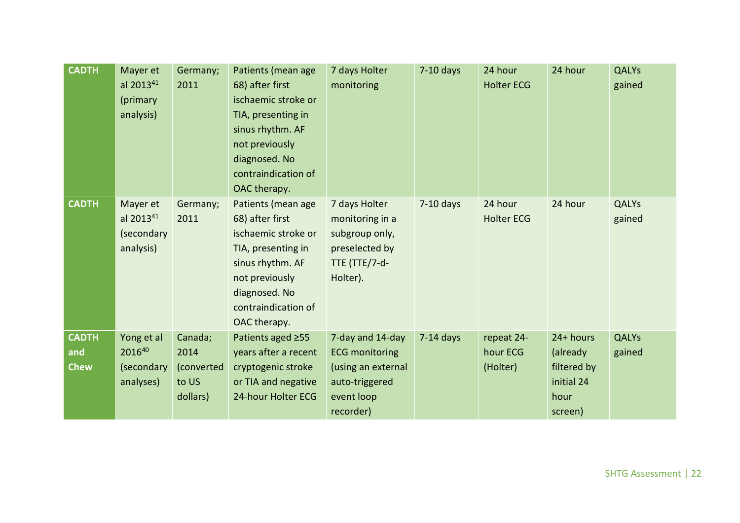| <b>CADTH</b>                       | Mayer et<br>al 2013 <sup>41</sup><br>(primary<br>analysis)   | Germany;<br>2011                                   | Patients (mean age<br>68) after first<br>ischaemic stroke or<br>TIA, presenting in<br>sinus rhythm. AF<br>not previously<br>diagnosed. No<br>contraindication of<br>OAC therapy. | 7 days Holter<br>monitoring                                                                                  | $7-10$ days | 24 hour<br><b>Holter ECG</b>       | 24 hour                                                               | <b>QALYs</b><br>gained |
|------------------------------------|--------------------------------------------------------------|----------------------------------------------------|----------------------------------------------------------------------------------------------------------------------------------------------------------------------------------|--------------------------------------------------------------------------------------------------------------|-------------|------------------------------------|-----------------------------------------------------------------------|------------------------|
| <b>CADTH</b>                       | Mayer et<br>al 2013 <sup>41</sup><br>(secondary<br>analysis) | Germany;<br>2011                                   | Patients (mean age<br>68) after first<br>ischaemic stroke or<br>TIA, presenting in<br>sinus rhythm. AF<br>not previously<br>diagnosed. No<br>contraindication of<br>OAC therapy. | 7 days Holter<br>monitoring in a<br>subgroup only,<br>preselected by<br>TTE (TTE/7-d-<br>Holter).            | $7-10$ days | 24 hour<br><b>Holter ECG</b>       | 24 hour                                                               | <b>QALYs</b><br>gained |
| <b>CADTH</b><br>and<br><b>Chew</b> | Yong et al<br>201640<br>(secondary<br>analyses)              | Canada;<br>2014<br>(converted<br>to US<br>dollars) | Patients aged ≥55<br>years after a recent<br>cryptogenic stroke<br>or TIA and negative<br>24-hour Holter ECG                                                                     | 7-day and 14-day<br><b>ECG monitoring</b><br>(using an external<br>auto-triggered<br>event loop<br>recorder) | $7-14$ days | repeat 24-<br>hour ECG<br>(Holter) | 24+ hours<br>(already<br>filtered by<br>initial 24<br>hour<br>screen) | <b>QALYs</b><br>gained |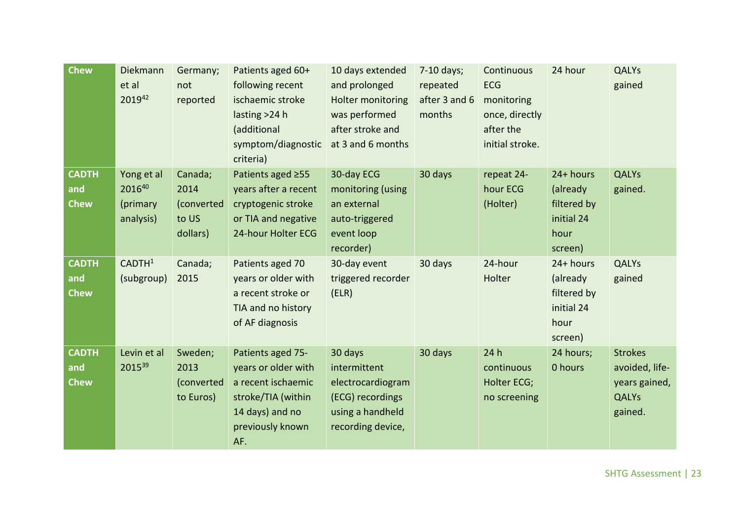| <b>Chew</b>                        | Diekmann<br>et al<br>201942                   | Germany;<br>not<br>reported                        | Patients aged 60+<br>following recent<br>ischaemic stroke<br>lasting >24 h<br>(additional<br>symptom/diagnostic<br>criteria)       | 10 days extended<br>and prolonged<br>Holter monitoring<br>was performed<br>after stroke and<br>at 3 and 6 months | 7-10 days;<br>repeated<br>after 3 and 6<br>months | Continuous<br><b>ECG</b><br>monitoring<br>once, directly<br>after the<br>initial stroke. | 24 hour                                                               | <b>QALYs</b><br>gained                                                       |
|------------------------------------|-----------------------------------------------|----------------------------------------------------|------------------------------------------------------------------------------------------------------------------------------------|------------------------------------------------------------------------------------------------------------------|---------------------------------------------------|------------------------------------------------------------------------------------------|-----------------------------------------------------------------------|------------------------------------------------------------------------------|
| <b>CADTH</b><br>and<br><b>Chew</b> | Yong et al<br>201640<br>(primary<br>analysis) | Canada;<br>2014<br>(converted<br>to US<br>dollars) | Patients aged ≥55<br>years after a recent<br>cryptogenic stroke<br>or TIA and negative<br>24-hour Holter ECG                       | 30-day ECG<br>monitoring (using<br>an external<br>auto-triggered<br>event loop<br>recorder)                      | 30 days                                           | repeat 24-<br>hour ECG<br>(Holter)                                                       | 24+ hours<br>(already<br>filtered by<br>initial 24<br>hour<br>screen) | <b>QALYs</b><br>gained.                                                      |
| <b>CADTH</b><br>and<br><b>Chew</b> | CADTH <sup>1</sup><br>(subgroup)              | Canada;<br>2015                                    | Patients aged 70<br>years or older with<br>a recent stroke or<br>TIA and no history<br>of AF diagnosis                             | 30-day event<br>triggered recorder<br>(ELR)                                                                      | 30 days                                           | 24-hour<br>Holter                                                                        | 24+ hours<br>(already<br>filtered by<br>initial 24<br>hour<br>screen) | <b>QALYs</b><br>gained                                                       |
| <b>CADTH</b><br>and<br><b>Chew</b> | Levin et al<br>201539                         | Sweden;<br>2013<br>(converted<br>to Euros)         | Patients aged 75-<br>years or older with<br>a recent ischaemic<br>stroke/TIA (within<br>14 days) and no<br>previously known<br>AF. | 30 days<br>intermittent<br>electrocardiogram<br>(ECG) recordings<br>using a handheld<br>recording device,        | 30 days                                           | 24h<br>continuous<br>Holter ECG;<br>no screening                                         | 24 hours;<br>0 hours                                                  | <b>Strokes</b><br>avoided, life-<br>years gained,<br><b>QALYs</b><br>gained. |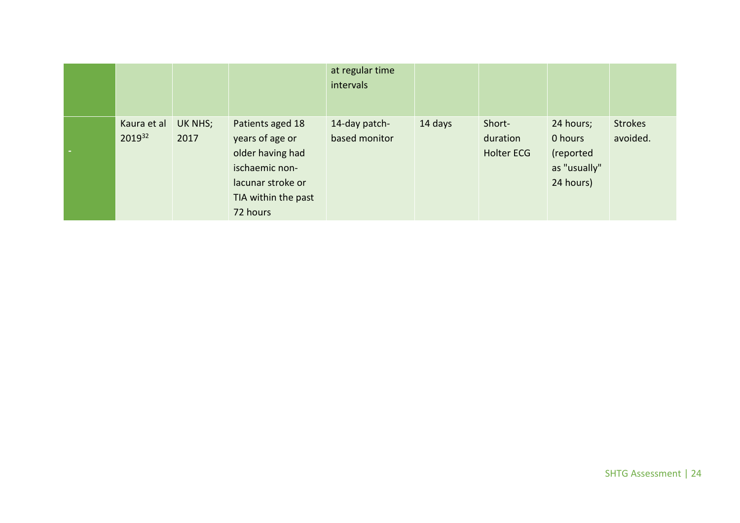|                       |                 |                                                                                                                                   | at regular time<br>intervals   |         |                                         |                                                                |                            |
|-----------------------|-----------------|-----------------------------------------------------------------------------------------------------------------------------------|--------------------------------|---------|-----------------------------------------|----------------------------------------------------------------|----------------------------|
| Kaura et al<br>201932 | UK NHS;<br>2017 | Patients aged 18<br>years of age or<br>older having had<br>ischaemic non-<br>lacunar stroke or<br>TIA within the past<br>72 hours | 14-day patch-<br>based monitor | 14 days | Short-<br>duration<br><b>Holter ECG</b> | 24 hours;<br>0 hours<br>(reported<br>as "usually"<br>24 hours) | <b>Strokes</b><br>avoided. |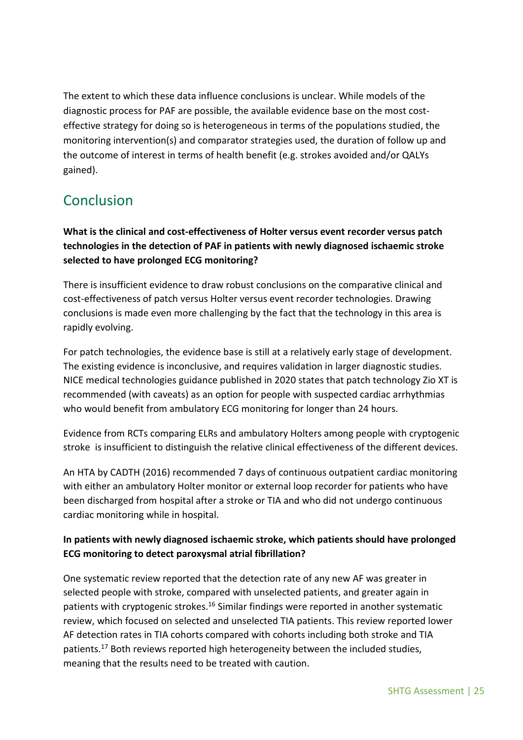The extent to which these data influence conclusions is unclear. While models of the diagnostic process for PAF are possible, the available evidence base on the most costeffective strategy for doing so is heterogeneous in terms of the populations studied, the monitoring intervention(s) and comparator strategies used, the duration of follow up and the outcome of interest in terms of health benefit (e.g. strokes avoided and/or QALYs gained).

# <span id="page-24-0"></span>**Conclusion**

**What is the clinical and cost-effectiveness of Holter versus event recorder versus patch technologies in the detection of PAF in patients with newly diagnosed ischaemic stroke selected to have prolonged ECG monitoring?** 

There is insufficient evidence to draw robust conclusions on the comparative clinical and cost-effectiveness of patch versus Holter versus event recorder technologies. Drawing conclusions is made even more challenging by the fact that the technology in this area is rapidly evolving.

For patch technologies, the evidence base is still at a relatively early stage of development. The existing evidence is inconclusive, and requires validation in larger diagnostic studies. NICE medical technologies guidance published in 2020 states that patch technology Zio XT is recommended (with caveats) as an option for people with suspected cardiac arrhythmias who would benefit from ambulatory ECG monitoring for longer than 24 hours.

Evidence from RCTs comparing ELRs and ambulatory Holters among people with cryptogenic stroke is insufficient to distinguish the relative clinical effectiveness of the different devices.

An HTA by CADTH (2016) recommended 7 days of continuous outpatient cardiac monitoring with either an ambulatory Holter monitor or external loop recorder for patients who have been discharged from hospital after a stroke or TIA and who did not undergo continuous cardiac monitoring while in hospital.

### **In patients with newly diagnosed ischaemic stroke, which patients should have prolonged ECG monitoring to detect paroxysmal atrial fibrillation?**

One systematic review reported that the detection rate of any new AF was greater in selected people with stroke, compared with unselected patients, and greater again in patients with cryptogenic strokes.<sup>16</sup> Similar findings were reported in another systematic review, which focused on selected and unselected TIA patients. This review reported lower AF detection rates in TIA cohorts compared with cohorts including both stroke and TIA patients.<sup>17</sup> Both reviews reported high heterogeneity between the included studies, meaning that the results need to be treated with caution.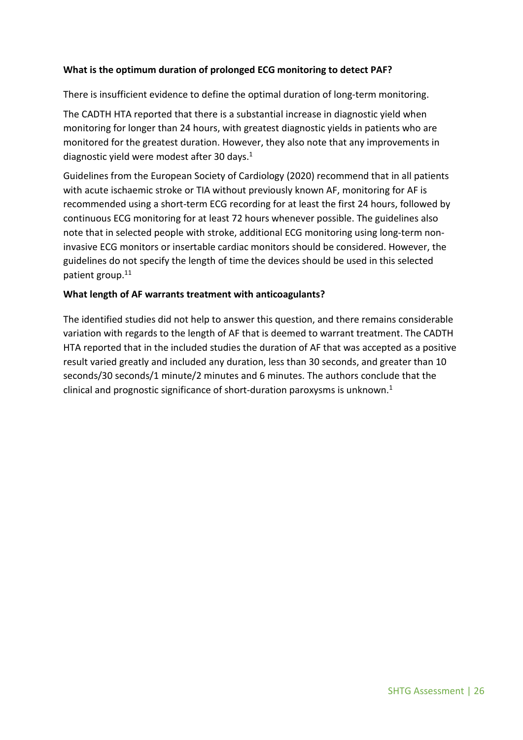#### **What is the optimum duration of prolonged ECG monitoring to detect PAF?**

There is insufficient evidence to define the optimal duration of long-term monitoring.

The CADTH HTA reported that there is a substantial increase in diagnostic yield when monitoring for longer than 24 hours, with greatest diagnostic yields in patients who are monitored for the greatest duration. However, they also note that any improvements in diagnostic yield were modest after 30 days. 1

Guidelines from the European Society of Cardiology (2020) recommend that in all patients with acute ischaemic stroke or TIA without previously known AF, monitoring for AF is recommended using a short-term ECG recording for at least the first 24 hours, followed by continuous ECG monitoring for at least 72 hours whenever possible. The guidelines also note that in selected people with stroke, additional ECG monitoring using long-term noninvasive ECG monitors or insertable cardiac monitors should be considered. However, the guidelines do not specify the length of time the devices should be used in this selected patient group. 11

#### **What length of AF warrants treatment with anticoagulants?**

The identified studies did not help to answer this question, and there remains considerable variation with regards to the length of AF that is deemed to warrant treatment. The CADTH HTA reported that in the included studies the duration of AF that was accepted as a positive result varied greatly and included any duration, less than 30 seconds, and greater than 10 seconds/30 seconds/1 minute/2 minutes and 6 minutes. The authors conclude that the clinical and prognostic significance of short-duration paroxysms is unknown. 1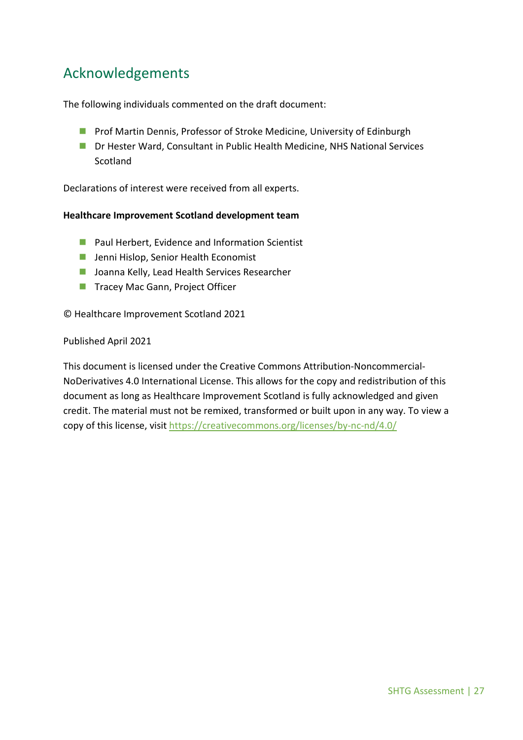# <span id="page-26-0"></span>Acknowledgements

The following individuals commented on the draft document:

- **Prof Martin Dennis, Professor of Stroke Medicine, University of Edinburgh**
- Dr Hester Ward, Consultant in Public Health Medicine, NHS National Services Scotland

Declarations of interest were received from all experts.

#### **Healthcare Improvement Scotland development team**

- **Paul Herbert, Evidence and Information Scientist**
- **Jenni Hislop, Senior Health Economist**
- **Joanna Kelly, Lead Health Services Researcher**
- **Tracey Mac Gann, Project Officer**

© Healthcare Improvement Scotland 2021

#### Published April 2021

This document is licensed under the Creative Commons Attribution-Noncommercial-NoDerivatives 4.0 International License. This allows for the copy and redistribution of this document as long as Healthcare Improvement Scotland is fully acknowledged and given credit. The material must not be remixed, transformed or built upon in any way. To view a copy of this license, visi[t https://creativecommons.org/licenses/by-nc-nd/4.0/](https://creativecommons.org/licenses/by-nc-nd/4.0/)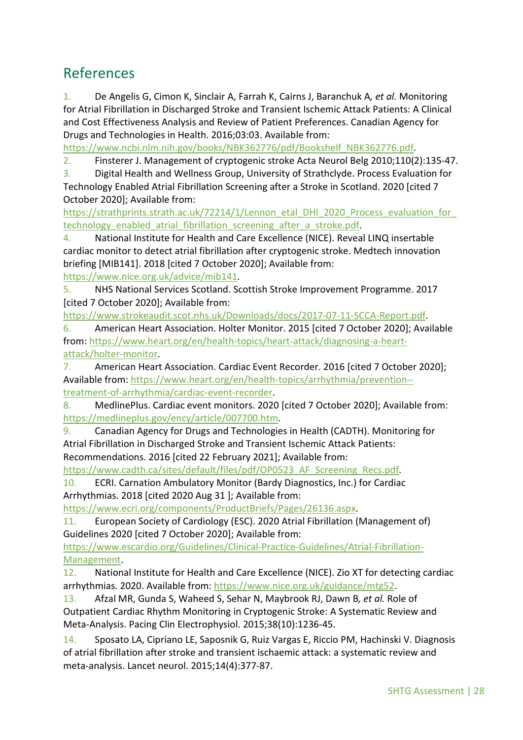## <span id="page-27-0"></span>References

1. De Angelis G, Cimon K, Sinclair A, Farrah K, Cairns J, Baranchuk A*, et al.* Monitoring for Atrial Fibrillation in Discharged Stroke and Transient Ischemic Attack Patients: A Clinical and Cost Effectiveness Analysis and Review of Patient Preferences. Canadian Agency for Drugs and Technologies in Health. 2016;03:03. Available from:

[https://www.ncbi.nlm.nih.gov/books/NBK362776/pdf/Bookshelf\\_NBK362776.pdf.](https://www.ncbi.nlm.nih.gov/books/NBK362776/pdf/Bookshelf_NBK362776.pdf)

2. Finsterer J. Management of cryptogenic stroke Acta Neurol Belg 2010;110(2):135-47.

3. Digital Health and Wellness Group, University of Strathclyde. Process Evaluation for Technology Enabled Atrial Fibrillation Screening after a Stroke in Scotland. 2020 [cited 7 October 2020]; Available from:

https://strathprints.strath.ac.uk/72214/1/Lennon\_etal\_DHI\_2020\_Process\_evaluation\_for [technology\\_enabled\\_atrial\\_fibrillation\\_screening\\_after\\_a\\_stroke.pdf.](https://strathprints.strath.ac.uk/72214/1/Lennon_etal_DHI_2020_Process_evaluation_for_technology_enabled_atrial_fibrillation_screening_after_a_stroke.pdf)

4. National Institute for Health and Care Excellence (NICE). Reveal LINQ insertable cardiac monitor to detect atrial fibrillation after cryptogenic stroke. Medtech innovation briefing [MIB141]. 2018 [cited 7 October 2020]; Available from:

[https://www.nice.org.uk/advice/mib141.](https://www.nice.org.uk/advice/mib141)

5. NHS National Services Scotland. Scottish Stroke Improvement Programme. 2017 [cited 7 October 2020]; Available from:

[https://www.strokeaudit.scot.nhs.uk/Downloads/docs/2017-07-11-SCCA-Report.pdf.](https://www.strokeaudit.scot.nhs.uk/Downloads/docs/2017-07-11-SCCA-Report.pdf)

6. American Heart Association. Holter Monitor. 2015 [cited 7 October 2020]; Available from[: https://www.heart.org/en/health-topics/heart-attack/diagnosing-a-heart](https://www.heart.org/en/health-topics/heart-attack/diagnosing-a-heart-attack/holter-monitor)[attack/holter-monitor.](https://www.heart.org/en/health-topics/heart-attack/diagnosing-a-heart-attack/holter-monitor)

7. American Heart Association. Cardiac Event Recorder. 2016 [cited 7 October 2020]; Available from: [https://www.heart.org/en/health-topics/arrhythmia/prevention-](https://www.heart.org/en/health-topics/arrhythmia/prevention--treatment-of-arrhythmia/cardiac-event-recorder) [treatment-of-arrhythmia/cardiac-event-recorder.](https://www.heart.org/en/health-topics/arrhythmia/prevention--treatment-of-arrhythmia/cardiac-event-recorder)

8. MedlinePlus. Cardiac event monitors. 2020 [cited 7 October 2020]; Available from: [https://medlineplus.gov/ency/article/007700.htm.](https://medlineplus.gov/ency/article/007700.htm)

9. Canadian Agency for Drugs and Technologies in Health (CADTH). Monitoring for Atrial Fibrillation in Discharged Stroke and Transient Ischemic Attack Patients: Recommendations. 2016 [cited 22 February 2021]; Available from:

https://www.cadth.ca/sites/default/files/pdf/OP0523 AF Screening Recs.pdf.

10. ECRI. Carnation Ambulatory Monitor (Bardy Diagnostics, Inc.) for Cardiac Arrhythmias. 2018 [cited 2020 Aug 31 ]; Available from:

[https://www.ecri.org/components/ProductBriefs/Pages/26136.aspx.](https://www.ecri.org/components/ProductBriefs/Pages/26136.aspx)

11. European Society of Cardiology (ESC). 2020 Atrial Fibrillation (Management of) Guidelines 2020 [cited 7 October 2020]; Available from:

[https://www.escardio.org/Guidelines/Clinical-Practice-Guidelines/Atrial-Fibrillation-](https://www.escardio.org/Guidelines/Clinical-Practice-Guidelines/Atrial-Fibrillation-Management)[Management.](https://www.escardio.org/Guidelines/Clinical-Practice-Guidelines/Atrial-Fibrillation-Management)

12. National Institute for Health and Care Excellence (NICE). Zio XT for detecting cardiac arrhythmias. 2020. Available from[: https://www.nice.org.uk/guidance/mtg52.](https://www.nice.org.uk/guidance/mtg52)

13. Afzal MR, Gunda S, Waheed S, Sehar N, Maybrook RJ, Dawn B*, et al.* Role of Outpatient Cardiac Rhythm Monitoring in Cryptogenic Stroke: A Systematic Review and Meta-Analysis. Pacing Clin Electrophysiol. 2015;38(10):1236-45.

14. Sposato LA, Cipriano LE, Saposnik G, Ruiz Vargas E, Riccio PM, Hachinski V. Diagnosis of atrial fibrillation after stroke and transient ischaemic attack: a systematic review and meta-analysis. Lancet neurol. 2015;14(4):377-87.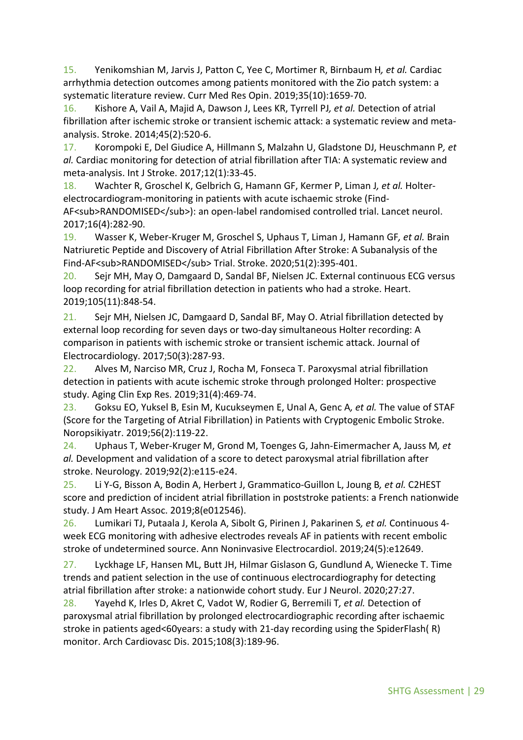15. Yenikomshian M, Jarvis J, Patton C, Yee C, Mortimer R, Birnbaum H*, et al.* Cardiac arrhythmia detection outcomes among patients monitored with the Zio patch system: a systematic literature review. Curr Med Res Opin. 2019;35(10):1659-70.

16. Kishore A, Vail A, Majid A, Dawson J, Lees KR, Tyrrell PJ*, et al.* Detection of atrial fibrillation after ischemic stroke or transient ischemic attack: a systematic review and metaanalysis. Stroke. 2014;45(2):520-6.

17. Korompoki E, Del Giudice A, Hillmann S, Malzahn U, Gladstone DJ, Heuschmann P*, et al.* Cardiac monitoring for detection of atrial fibrillation after TIA: A systematic review and meta-analysis. Int J Stroke. 2017;12(1):33-45.

18. Wachter R, Groschel K, Gelbrich G, Hamann GF, Kermer P, Liman J*, et al.* Holterelectrocardiogram-monitoring in patients with acute ischaemic stroke (Find-AF<sub>RANDOMISED</sub>): an open-label randomised controlled trial. Lancet neurol. 2017;16(4):282-90.

19. Wasser K, Weber-Kruger M, Groschel S, Uphaus T, Liman J, Hamann GF*, et al.* Brain Natriuretic Peptide and Discovery of Atrial Fibrillation After Stroke: A Subanalysis of the Find-AF<sub>RANDOMISED</sub> Trial. Stroke. 2020;51(2):395-401.

20. Sejr MH, May O, Damgaard D, Sandal BF, Nielsen JC. External continuous ECG versus loop recording for atrial fibrillation detection in patients who had a stroke. Heart. 2019;105(11):848-54.

21. Sejr MH, Nielsen JC, Damgaard D, Sandal BF, May O. Atrial fibrillation detected by external loop recording for seven days or two-day simultaneous Holter recording: A comparison in patients with ischemic stroke or transient ischemic attack. Journal of Electrocardiology. 2017;50(3):287-93.

22. Alves M, Narciso MR, Cruz J, Rocha M, Fonseca T. Paroxysmal atrial fibrillation detection in patients with acute ischemic stroke through prolonged Holter: prospective study. Aging Clin Exp Res. 2019;31(4):469-74.

23. Goksu EO, Yuksel B, Esin M, Kucukseymen E, Unal A, Genc A*, et al.* The value of STAF (Score for the Targeting of Atrial Fibrillation) in Patients with Cryptogenic Embolic Stroke. Noropsikiyatr. 2019;56(2):119-22.

24. Uphaus T, Weber-Kruger M, Grond M, Toenges G, Jahn-Eimermacher A, Jauss M*, et al.* Development and validation of a score to detect paroxysmal atrial fibrillation after stroke. Neurology. 2019;92(2):e115-e24.

25. Li Y-G, Bisson A, Bodin A, Herbert J, Grammatico-Guillon L, Joung B*, et al.* C2HEST score and prediction of incident atrial fibrillation in poststroke patients: a French nationwide study. J Am Heart Assoc. 2019;8(e012546).

26. Lumikari TJ, Putaala J, Kerola A, Sibolt G, Pirinen J, Pakarinen S*, et al.* Continuous 4 week ECG monitoring with adhesive electrodes reveals AF in patients with recent embolic stroke of undetermined source. Ann Noninvasive Electrocardiol. 2019;24(5):e12649.

27. Lyckhage LF, Hansen ML, Butt JH, Hilmar Gislason G, Gundlund A, Wienecke T. Time trends and patient selection in the use of continuous electrocardiography for detecting atrial fibrillation after stroke: a nationwide cohort study. Eur J Neurol. 2020;27:27.

28. Yayehd K, Irles D, Akret C, Vadot W, Rodier G, Berremili T*, et al.* Detection of paroxysmal atrial fibrillation by prolonged electrocardiographic recording after ischaemic stroke in patients aged<60years: a study with 21-day recording using the SpiderFlash( R) monitor. Arch Cardiovasc Dis. 2015;108(3):189-96.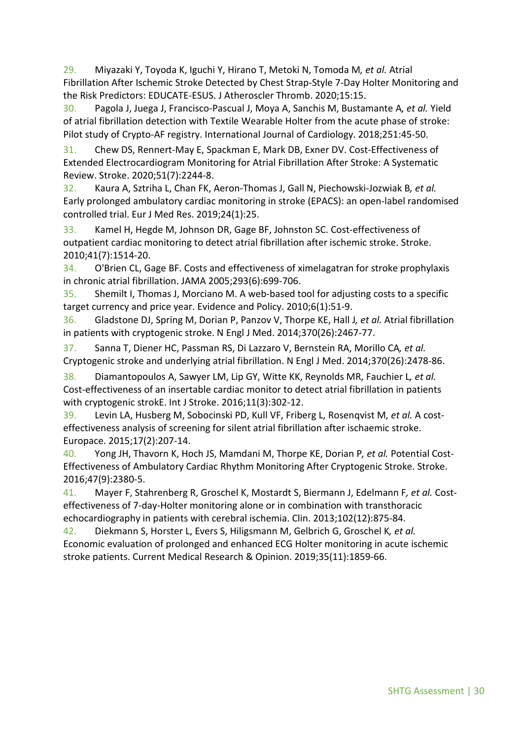29. Miyazaki Y, Toyoda K, Iguchi Y, Hirano T, Metoki N, Tomoda M*, et al.* Atrial Fibrillation After Ischemic Stroke Detected by Chest Strap-Style 7-Day Holter Monitoring and the Risk Predictors: EDUCATE-ESUS. J Atheroscler Thromb. 2020;15:15.

30. Pagola J, Juega J, Francisco-Pascual J, Moya A, Sanchis M, Bustamante A*, et al.* Yield of atrial fibrillation detection with Textile Wearable Holter from the acute phase of stroke: Pilot study of Crypto-AF registry. International Journal of Cardiology. 2018;251:45-50.

31. Chew DS, Rennert-May E, Spackman E, Mark DB, Exner DV. Cost-Effectiveness of Extended Electrocardiogram Monitoring for Atrial Fibrillation After Stroke: A Systematic Review. Stroke. 2020;51(7):2244-8.

32. Kaura A, Sztriha L, Chan FK, Aeron-Thomas J, Gall N, Piechowski-Jozwiak B*, et al.* Early prolonged ambulatory cardiac monitoring in stroke (EPACS): an open-label randomised controlled trial. Eur J Med Res. 2019;24(1):25.

33. Kamel H, Hegde M, Johnson DR, Gage BF, Johnston SC. Cost-effectiveness of outpatient cardiac monitoring to detect atrial fibrillation after ischemic stroke. Stroke. 2010;41(7):1514-20.

34. O'Brien CL, Gage BF. Costs and effectiveness of ximelagatran for stroke prophylaxis in chronic atrial fibrillation. JAMA 2005;293(6):699-706.

35. Shemilt I, Thomas J, Morciano M. A web-based tool for adjusting costs to a specific target currency and price year. Evidence and Policy. 2010;6(1):51-9.

36. Gladstone DJ, Spring M, Dorian P, Panzov V, Thorpe KE, Hall J*, et al.* Atrial fibrillation in patients with cryptogenic stroke. N Engl J Med. 2014;370(26):2467-77.

37. Sanna T, Diener HC, Passman RS, Di Lazzaro V, Bernstein RA, Morillo CA*, et al.* Cryptogenic stroke and underlying atrial fibrillation. N Engl J Med. 2014;370(26):2478-86.

38. Diamantopoulos A, Sawyer LM, Lip GY, Witte KK, Reynolds MR, Fauchier L*, et al.* Cost-effectiveness of an insertable cardiac monitor to detect atrial fibrillation in patients with cryptogenic strokE. Int J Stroke. 2016;11(3):302-12.

39. Levin LA, Husberg M, Sobocinski PD, Kull VF, Friberg L, Rosenqvist M*, et al.* A costeffectiveness analysis of screening for silent atrial fibrillation after ischaemic stroke. Europace. 2015;17(2):207-14.

40. Yong JH, Thavorn K, Hoch JS, Mamdani M, Thorpe KE, Dorian P*, et al.* Potential Cost-Effectiveness of Ambulatory Cardiac Rhythm Monitoring After Cryptogenic Stroke. Stroke. 2016;47(9):2380-5.

41. Mayer F, Stahrenberg R, Groschel K, Mostardt S, Biermann J, Edelmann F*, et al.* Costeffectiveness of 7-day-Holter monitoring alone or in combination with transthoracic echocardiography in patients with cerebral ischemia. Clin. 2013;102(12):875-84.

42. Diekmann S, Horster L, Evers S, Hiligsmann M, Gelbrich G, Groschel K*, et al.* Economic evaluation of prolonged and enhanced ECG Holter monitoring in acute ischemic stroke patients. Current Medical Research & Opinion. 2019;35(11):1859-66.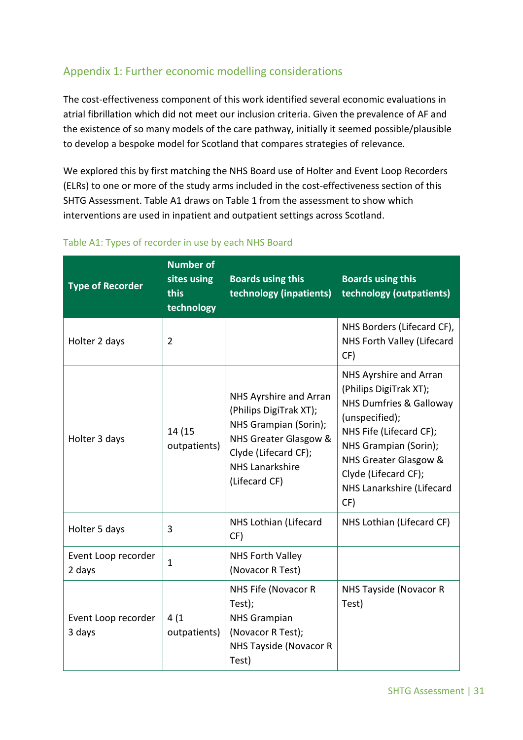## <span id="page-30-0"></span>Appendix 1: Further economic modelling considerations

The cost-effectiveness component of this work identified several economic evaluations in atrial fibrillation which did not meet our inclusion criteria. Given the prevalence of AF and the existence of so many models of the care pathway, initially it seemed possible/plausible to develop a bespoke model for Scotland that compares strategies of relevance.

We explored this by first matching the NHS Board use of Holter and Event Loop Recorders (ELRs) to one or more of the study arms included in the cost-effectiveness section of this SHTG Assessment. Table A1 draws on Table 1 from the assessment to show which interventions are used in inpatient and outpatient settings across Scotland.

| <b>Type of Recorder</b>       | <b>Number of</b><br>sites using<br>this<br>technology | <b>Boards using this</b><br>technology (inpatients)                                                                                                                   | <b>Boards using this</b><br>technology (outpatients)                                                                                                                                                                                              |
|-------------------------------|-------------------------------------------------------|-----------------------------------------------------------------------------------------------------------------------------------------------------------------------|---------------------------------------------------------------------------------------------------------------------------------------------------------------------------------------------------------------------------------------------------|
| Holter 2 days                 | $\overline{2}$                                        |                                                                                                                                                                       | NHS Borders (Lifecard CF),<br>NHS Forth Valley (Lifecard<br>CF)                                                                                                                                                                                   |
| Holter 3 days                 | 14 (15<br>outpatients)                                | NHS Ayrshire and Arran<br>(Philips DigiTrak XT);<br>NHS Grampian (Sorin);<br>NHS Greater Glasgow &<br>Clyde (Lifecard CF);<br><b>NHS Lanarkshire</b><br>(Lifecard CF) | NHS Ayrshire and Arran<br>(Philips DigiTrak XT);<br><b>NHS Dumfries &amp; Galloway</b><br>(unspecified);<br>NHS Fife (Lifecard CF);<br>NHS Grampian (Sorin);<br>NHS Greater Glasgow &<br>Clyde (Lifecard CF);<br>NHS Lanarkshire (Lifecard<br>CF) |
| Holter 5 days                 | 3                                                     | NHS Lothian (Lifecard<br>CF)                                                                                                                                          | NHS Lothian (Lifecard CF)                                                                                                                                                                                                                         |
| Event Loop recorder<br>2 days | $\mathbf{1}$                                          | <b>NHS Forth Valley</b><br>(Novacor R Test)                                                                                                                           |                                                                                                                                                                                                                                                   |
| Event Loop recorder<br>3 days | 4(1)<br>outpatients)                                  | NHS Fife (Novacor R<br>Test);<br><b>NHS Grampian</b><br>(Novacor R Test);<br><b>NHS Tayside (Novacor R</b><br>Test)                                                   | NHS Tayside (Novacor R<br>Test)                                                                                                                                                                                                                   |

#### Table A1: Types of recorder in use by each NHS Board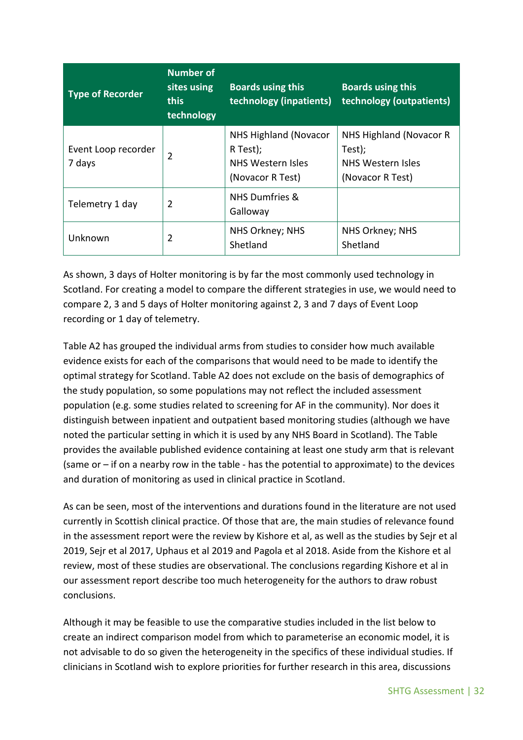| <b>Type of Recorder</b>       | <b>Number of</b><br>sites using<br><b>this</b><br>technology | <b>Boards using this</b><br>technology (inpatients)                               | <b>Boards using this</b><br>technology (outpatients)                       |
|-------------------------------|--------------------------------------------------------------|-----------------------------------------------------------------------------------|----------------------------------------------------------------------------|
| Event Loop recorder<br>7 days | 2                                                            | NHS Highland (Novacor<br>R Test);<br><b>NHS Western Isles</b><br>(Novacor R Test) | NHS Highland (Novacor R<br>Test);<br>NHS Western Isles<br>(Novacor R Test) |
| Telemetry 1 day               | $\overline{2}$                                               | NHS Dumfries &<br>Galloway                                                        |                                                                            |
| Unknown                       | $\overline{2}$                                               | NHS Orkney; NHS<br>Shetland                                                       | NHS Orkney; NHS<br>Shetland                                                |

As shown, 3 days of Holter monitoring is by far the most commonly used technology in Scotland. For creating a model to compare the different strategies in use, we would need to compare 2, 3 and 5 days of Holter monitoring against 2, 3 and 7 days of Event Loop recording or 1 day of telemetry.

Table A2 has grouped the individual arms from studies to consider how much available evidence exists for each of the comparisons that would need to be made to identify the optimal strategy for Scotland. Table A2 does not exclude on the basis of demographics of the study population, so some populations may not reflect the included assessment population (e.g. some studies related to screening for AF in the community). Nor does it distinguish between inpatient and outpatient based monitoring studies (although we have noted the particular setting in which it is used by any NHS Board in Scotland). The Table provides the available published evidence containing at least one study arm that is relevant (same or – if on a nearby row in the table - has the potential to approximate) to the devices and duration of monitoring as used in clinical practice in Scotland.

As can be seen, most of the interventions and durations found in the literature are not used currently in Scottish clinical practice. Of those that are, the main studies of relevance found in the assessment report were the review by Kishore et al, as well as the studies by Sejr et al 2019, Sejr et al 2017, Uphaus et al 2019 and Pagola et al 2018. Aside from the Kishore et al review, most of these studies are observational. The conclusions regarding Kishore et al in our assessment report describe too much heterogeneity for the authors to draw robust conclusions.

Although it may be feasible to use the comparative studies included in the list below to create an indirect comparison model from which to parameterise an economic model, it is not advisable to do so given the heterogeneity in the specifics of these individual studies. If clinicians in Scotland wish to explore priorities for further research in this area, discussions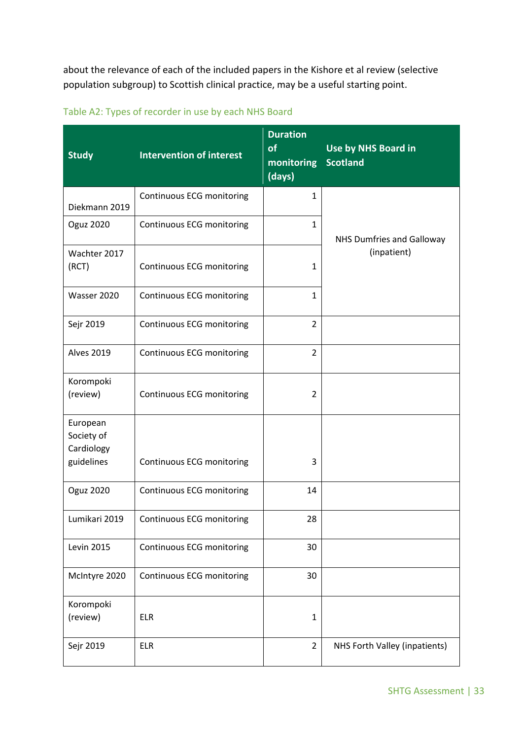about the relevance of each of the included papers in the Kishore et al review (selective population subgroup) to Scottish clinical practice, may be a useful starting point.

| <b>Study</b>                                       | <b>Intervention of interest</b>  | <b>Duration</b><br>of<br>monitoring<br>(days) | Use by NHS Board in<br><b>Scotland</b> |
|----------------------------------------------------|----------------------------------|-----------------------------------------------|----------------------------------------|
| Diekmann 2019                                      | Continuous ECG monitoring        | $\mathbf{1}$                                  |                                        |
| <b>Oguz 2020</b>                                   | Continuous ECG monitoring        | $\mathbf{1}$                                  | <b>NHS Dumfries and Galloway</b>       |
| Wachter 2017<br>(RCT)                              | Continuous ECG monitoring        | $\mathbf{1}$                                  | (inpatient)                            |
| Wasser 2020                                        | <b>Continuous ECG monitoring</b> | $\mathbf{1}$                                  |                                        |
| Sejr 2019                                          | Continuous ECG monitoring        | $\overline{2}$                                |                                        |
| <b>Alves 2019</b>                                  | Continuous ECG monitoring        | $\overline{2}$                                |                                        |
| Korompoki<br>(review)                              | Continuous ECG monitoring        | $\overline{2}$                                |                                        |
| European<br>Society of<br>Cardiology<br>guidelines | <b>Continuous ECG monitoring</b> | 3                                             |                                        |
| <b>Oguz 2020</b>                                   | <b>Continuous ECG monitoring</b> | 14                                            |                                        |
| Lumikari 2019                                      | <b>Continuous ECG monitoring</b> | 28                                            |                                        |
| <b>Levin 2015</b>                                  | <b>Continuous ECG monitoring</b> | 30                                            |                                        |
| McIntyre 2020                                      | <b>Continuous ECG monitoring</b> | 30                                            |                                        |
| Korompoki<br>(review)                              | <b>ELR</b>                       | $\mathbf{1}$                                  |                                        |
| Sejr 2019                                          | <b>ELR</b>                       | $\overline{2}$                                | NHS Forth Valley (inpatients)          |

### Table A2: Types of recorder in use by each NHS Board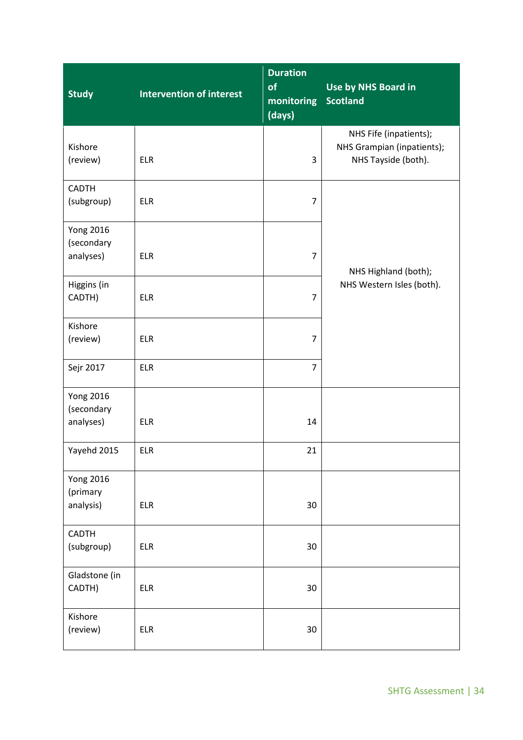| <b>Study</b>                                | <b>Intervention of interest</b> | <b>Duration</b><br>of<br>monitoring<br>(days) | Use by NHS Board in<br><b>Scotland</b>                                      |
|---------------------------------------------|---------------------------------|-----------------------------------------------|-----------------------------------------------------------------------------|
| Kishore<br>(review)                         | <b>ELR</b>                      | 3                                             | NHS Fife (inpatients);<br>NHS Grampian (inpatients);<br>NHS Tayside (both). |
| <b>CADTH</b><br>(subgroup)                  | <b>ELR</b>                      | $\overline{7}$                                |                                                                             |
| <b>Yong 2016</b><br>(secondary<br>analyses) | <b>ELR</b>                      | $\overline{7}$                                | NHS Highland (both);                                                        |
| Higgins (in<br>CADTH)                       | <b>ELR</b>                      | $\overline{7}$                                | NHS Western Isles (both).                                                   |
| Kishore<br>(review)                         | <b>ELR</b>                      | $\overline{7}$                                |                                                                             |
| Sejr 2017                                   | <b>ELR</b>                      | $\overline{7}$                                |                                                                             |
| <b>Yong 2016</b><br>(secondary<br>analyses) | <b>ELR</b>                      | 14                                            |                                                                             |
| Yayehd 2015                                 | <b>ELR</b>                      | 21                                            |                                                                             |
| <b>Yong 2016</b><br>(primary<br>analysis)   | <b>ELR</b>                      | 30                                            |                                                                             |
| <b>CADTH</b><br>(subgroup)                  | <b>ELR</b>                      | 30                                            |                                                                             |
| Gladstone (in<br>CADTH)                     | <b>ELR</b>                      | 30                                            |                                                                             |
| Kishore<br>(review)                         | <b>ELR</b>                      | 30                                            |                                                                             |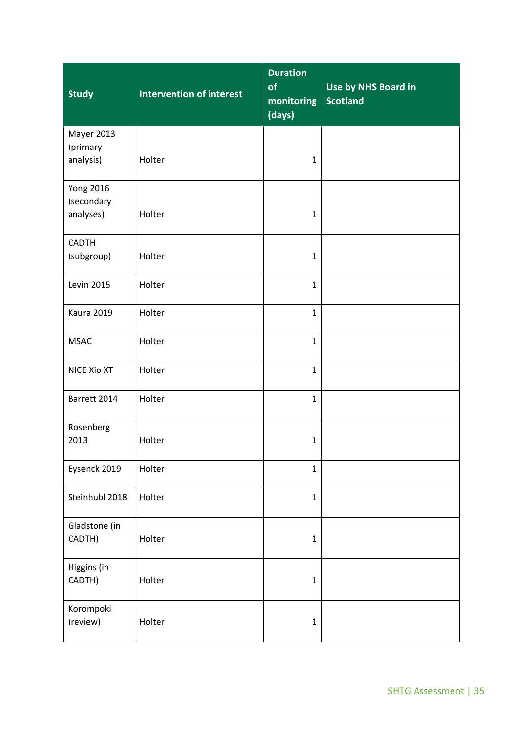| <b>Study</b>                                | <b>Intervention of interest</b> | <b>Duration</b><br>of<br>monitoring<br>(days) | Use by NHS Board in<br><b>Scotland</b> |
|---------------------------------------------|---------------------------------|-----------------------------------------------|----------------------------------------|
| Mayer 2013<br>(primary<br>analysis)         | Holter                          | $\mathbf{1}$                                  |                                        |
| <b>Yong 2016</b><br>(secondary<br>analyses) | Holter                          | $\mathbf{1}$                                  |                                        |
| CADTH<br>(subgroup)                         | Holter                          | $\mathbf{1}$                                  |                                        |
| <b>Levin 2015</b>                           | Holter                          | $\mathbf{1}$                                  |                                        |
| Kaura 2019                                  | Holter                          | $\mathbf{1}$                                  |                                        |
| <b>MSAC</b>                                 | Holter                          | $\mathbf{1}$                                  |                                        |
| NICE Xio XT                                 | Holter                          | $\mathbf{1}$                                  |                                        |
| Barrett 2014                                | Holter                          | $\mathbf{1}$                                  |                                        |
| Rosenberg<br>2013                           | Holter                          | $\mathbf 1$                                   |                                        |
| Eysenck 2019                                | Holter                          | $\mathbf{1}$                                  |                                        |
| Steinhubl 2018                              | Holter                          | $\mathbf{1}$                                  |                                        |
| Gladstone (in<br>CADTH)                     | Holter                          | $\mathbf 1$                                   |                                        |
| Higgins (in<br>CADTH)                       | Holter                          | $\mathbf 1$                                   |                                        |
| Korompoki<br>(review)                       | Holter                          | $\mathbf 1$                                   |                                        |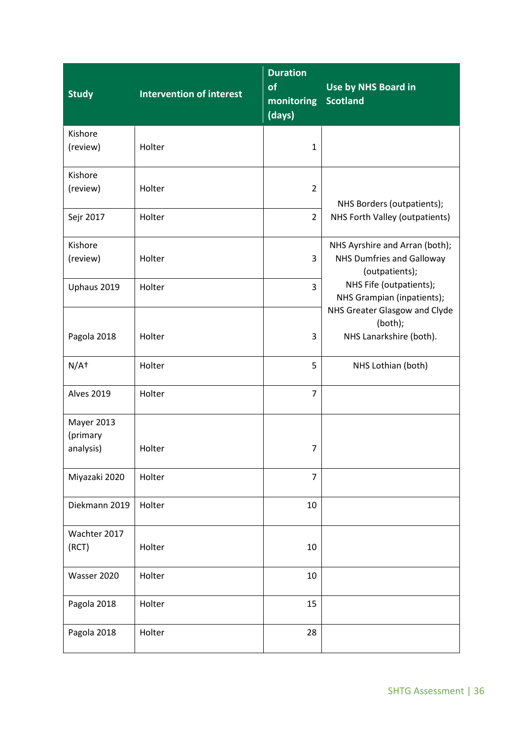| <b>Study</b>                        | <b>Intervention of interest</b> | <b>Duration</b><br>of<br>monitoring<br>(days) | Use by NHS Board in<br><b>Scotland</b>                                                                                                                                                                               |
|-------------------------------------|---------------------------------|-----------------------------------------------|----------------------------------------------------------------------------------------------------------------------------------------------------------------------------------------------------------------------|
| Kishore                             |                                 |                                               |                                                                                                                                                                                                                      |
| (review)                            | Holter                          | $\mathbf{1}$                                  |                                                                                                                                                                                                                      |
| Kishore<br>(review)                 | Holter                          | $\overline{2}$                                | NHS Borders (outpatients);<br>NHS Forth Valley (outpatients)                                                                                                                                                         |
| Sejr 2017                           | Holter                          | $\overline{2}$                                |                                                                                                                                                                                                                      |
| Kishore<br>(review)                 | Holter                          | 3                                             | NHS Ayrshire and Arran (both);<br><b>NHS Dumfries and Galloway</b><br>(outpatients);<br>NHS Fife (outpatients);<br>NHS Grampian (inpatients);<br>NHS Greater Glasgow and Clyde<br>(both);<br>NHS Lanarkshire (both). |
| Uphaus 2019                         | Holter                          | 3                                             |                                                                                                                                                                                                                      |
| Pagola 2018                         | Holter                          | 3                                             |                                                                                                                                                                                                                      |
| $N/A+$                              | Holter                          | 5                                             | NHS Lothian (both)                                                                                                                                                                                                   |
| <b>Alves 2019</b>                   | Holter                          | $\overline{7}$                                |                                                                                                                                                                                                                      |
| Mayer 2013<br>(primary<br>analysis) | Holter                          | $\overline{7}$                                |                                                                                                                                                                                                                      |
| Miyazaki 2020                       | Holter                          | 7                                             |                                                                                                                                                                                                                      |
| Diekmann 2019                       | Holter                          | 10                                            |                                                                                                                                                                                                                      |
| Wachter 2017<br>(RCT)               | Holter                          | 10                                            |                                                                                                                                                                                                                      |
| Wasser 2020                         | Holter                          | 10                                            |                                                                                                                                                                                                                      |
| Pagola 2018                         | Holter                          | 15                                            |                                                                                                                                                                                                                      |
| Pagola 2018                         | Holter                          | 28                                            |                                                                                                                                                                                                                      |